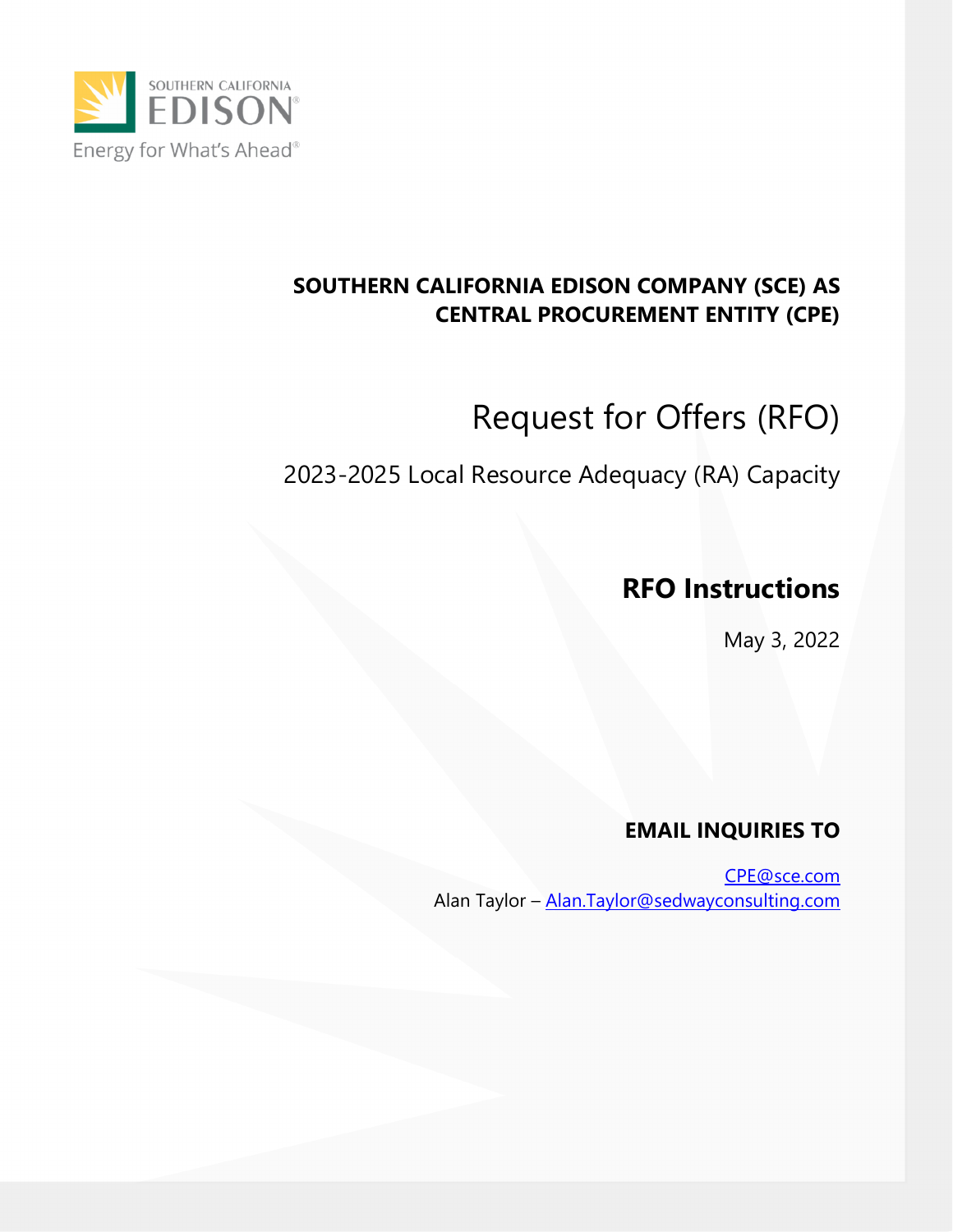

## **SOUTHERN CALIFORNIA EDISON COMPANY (SCE) AS CENTRAL PROCUREMENT ENTITY (CPE)**

# Request for Offers (RFO)

## 2023-2025 Local Resource Adequacy (RA) Capacity

## **RFO Instructions**

May 3, 2022

## **EMAIL INQUIRIES TO**

CPE@sce.com Alan Taylor - Alan.Taylor@sedwayconsulting.com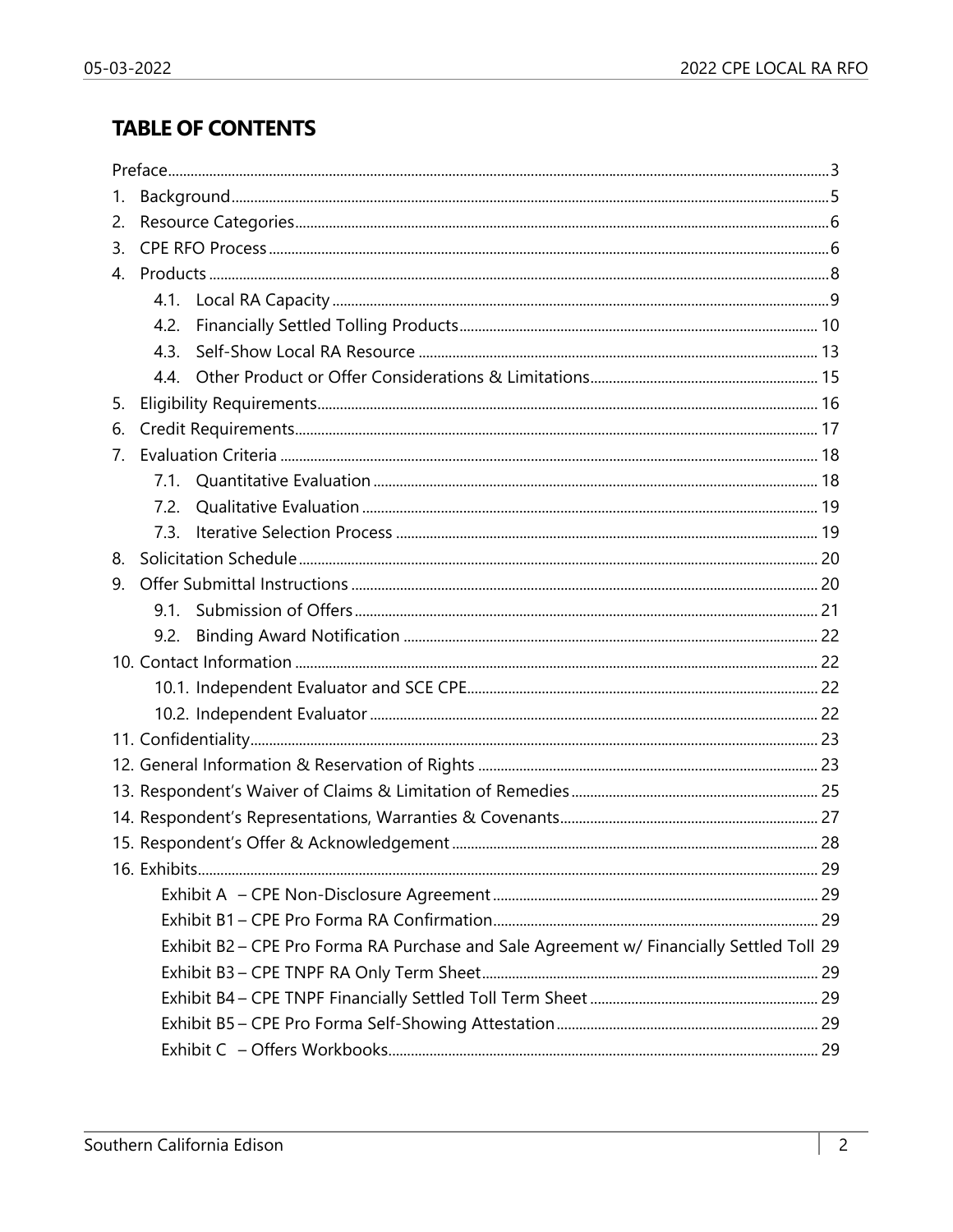## **TABLE OF CONTENTS**

| 1.             |      |                                                                                          |  |
|----------------|------|------------------------------------------------------------------------------------------|--|
| 2.             |      |                                                                                          |  |
| 3.             |      |                                                                                          |  |
| $\overline{4}$ |      |                                                                                          |  |
|                |      |                                                                                          |  |
|                | 4.2. |                                                                                          |  |
|                | 4.3. |                                                                                          |  |
|                |      |                                                                                          |  |
| 5.             |      |                                                                                          |  |
| 6.             |      |                                                                                          |  |
| 7.             |      |                                                                                          |  |
|                |      |                                                                                          |  |
|                | 7.2. |                                                                                          |  |
|                | 7.3. |                                                                                          |  |
| 8.             |      |                                                                                          |  |
| 9.             |      |                                                                                          |  |
|                |      |                                                                                          |  |
|                | 9.2. |                                                                                          |  |
|                |      |                                                                                          |  |
|                |      |                                                                                          |  |
|                |      |                                                                                          |  |
|                |      |                                                                                          |  |
|                |      |                                                                                          |  |
|                |      |                                                                                          |  |
|                |      |                                                                                          |  |
|                |      |                                                                                          |  |
|                |      |                                                                                          |  |
|                |      |                                                                                          |  |
|                |      |                                                                                          |  |
|                |      | Exhibit B2 - CPE Pro Forma RA Purchase and Sale Agreement w/ Financially Settled Toll 29 |  |
|                |      |                                                                                          |  |
|                |      |                                                                                          |  |
|                |      |                                                                                          |  |
|                |      |                                                                                          |  |
|                |      |                                                                                          |  |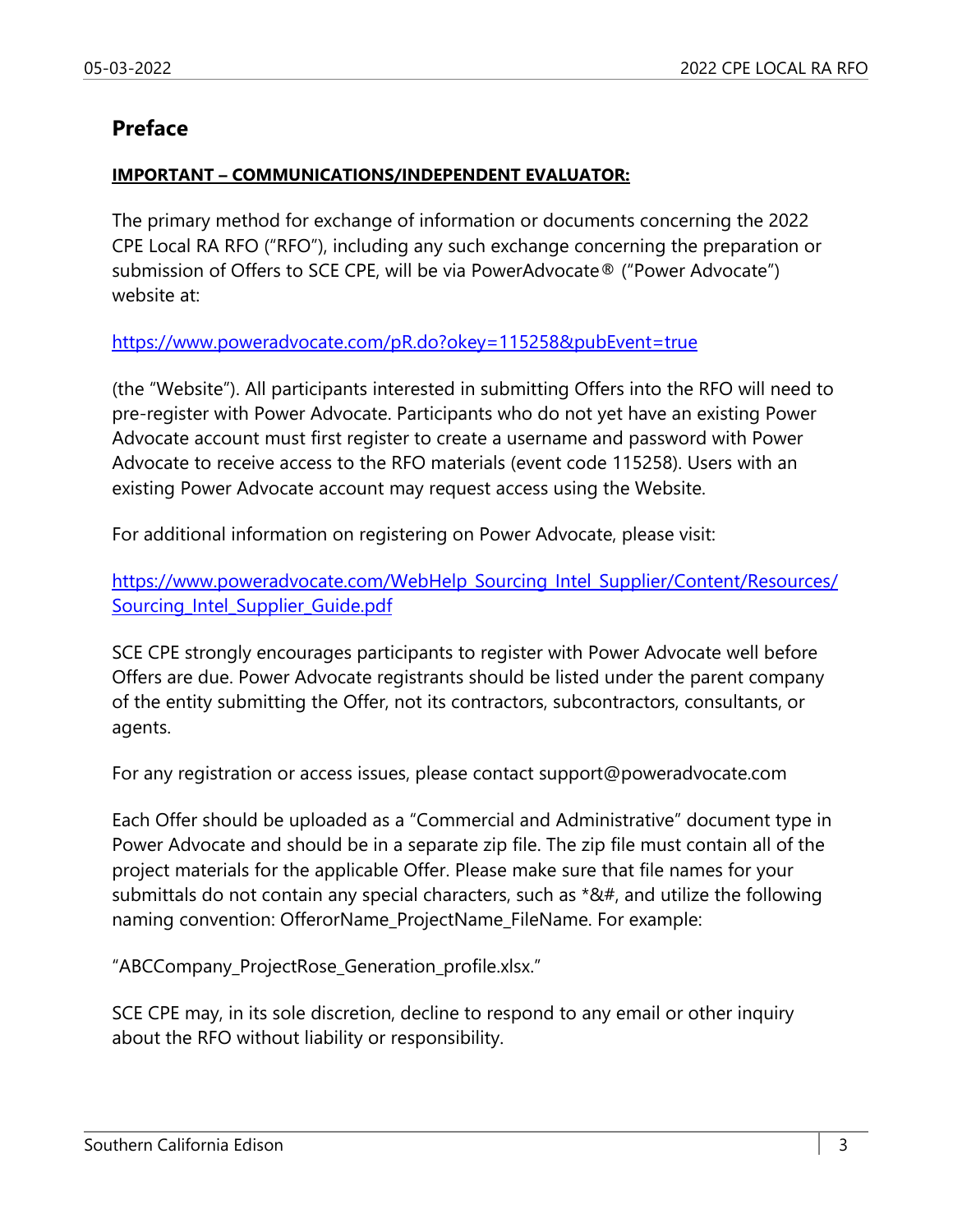#### **Preface**

#### **IMPORTANT – COMMUNICATIONS/INDEPENDENT EVALUATOR:**

The primary method for exchange of information or documents concerning the 2022 CPE Local RA RFO ("RFO"), including any such exchange concerning the preparation or submission of Offers to SCE CPE, will be via PowerAdvocate® ("Power Advocate") website at:

#### https://www.poweradvocate.com/pR.do?okey=115258&pubEvent=true

(the "Website"). All participants interested in submitting Offers into the RFO will need to pre-register with Power Advocate. Participants who do not yet have an existing Power Advocate account must first register to create a username and password with Power Advocate to receive access to the RFO materials (event code 115258). Users with an existing Power Advocate account may request access using the Website.

For additional information on registering on Power Advocate, please visit:

https://www.poweradvocate.com/WebHelp\_Sourcing\_Intel\_Supplier/Content/Resources/ Sourcing\_Intel\_Supplier\_Guide.pdf

SCE CPE strongly encourages participants to register with Power Advocate well before Offers are due. Power Advocate registrants should be listed under the parent company of the entity submitting the Offer, not its contractors, subcontractors, consultants, or agents.

For any registration or access issues, please contact support@poweradvocate.com

Each Offer should be uploaded as a "Commercial and Administrative" document type in Power Advocate and should be in a separate zip file. The zip file must contain all of the project materials for the applicable Offer. Please make sure that file names for your submittals do not contain any special characters, such as  $*84#$ , and utilize the following naming convention: OfferorName\_ProjectName\_FileName. For example:

"ABCCompany\_ProjectRose\_Generation\_profile.xlsx."

SCE CPE may, in its sole discretion, decline to respond to any email or other inquiry about the RFO without liability or responsibility.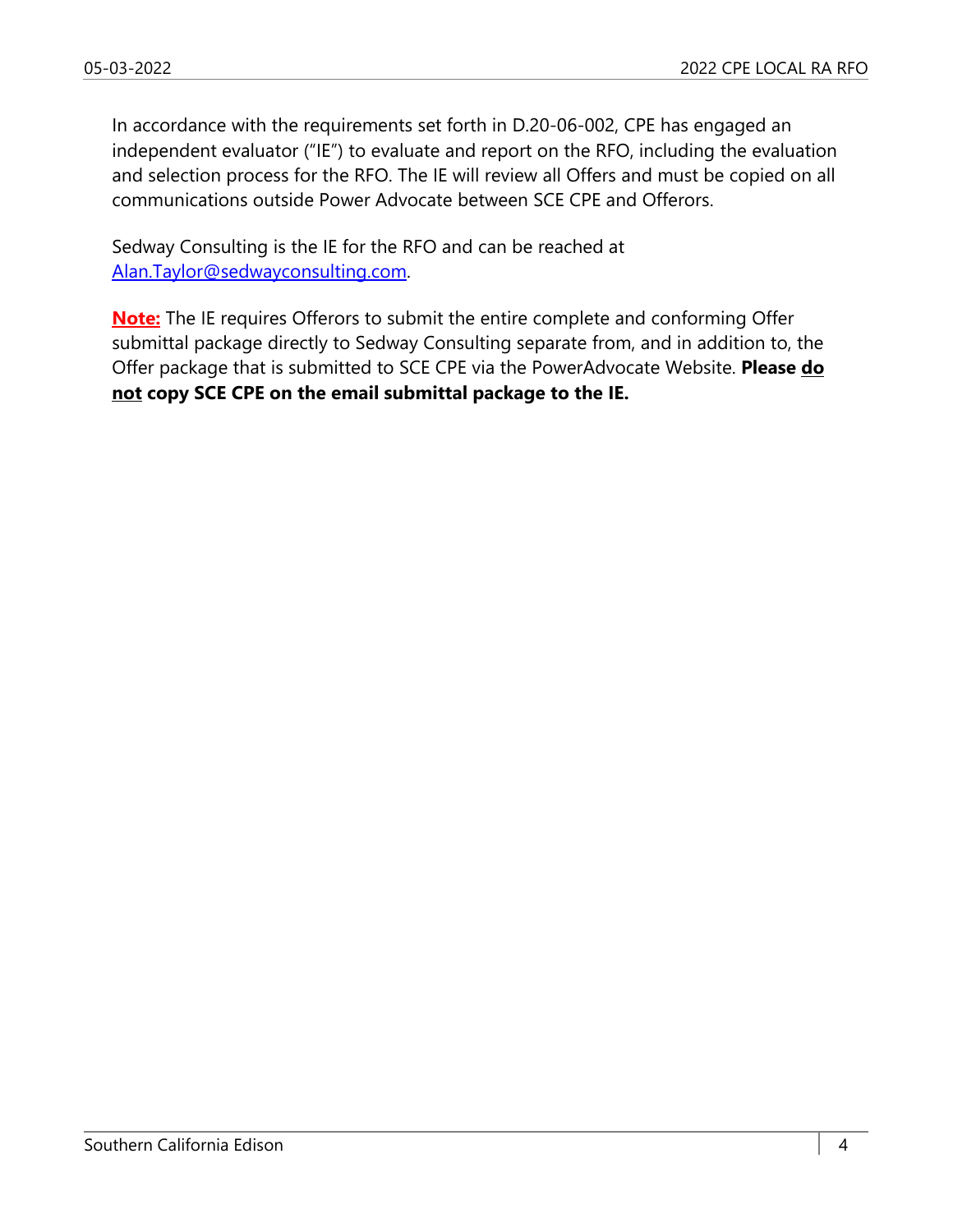In accordance with the requirements set forth in D.20-06-002, CPE has engaged an independent evaluator ("IE") to evaluate and report on the RFO, including the evaluation and selection process for the RFO. The IE will review all Offers and must be copied on all communications outside Power Advocate between SCE CPE and Offerors.

Sedway Consulting is the IE for the RFO and can be reached at Alan.Taylor@sedwayconsulting.com.

**Note:** The IE requires Offerors to submit the entire complete and conforming Offer submittal package directly to Sedway Consulting separate from, and in addition to, the Offer package that is submitted to SCE CPE via the PowerAdvocate Website. **Please do not copy SCE CPE on the email submittal package to the IE.**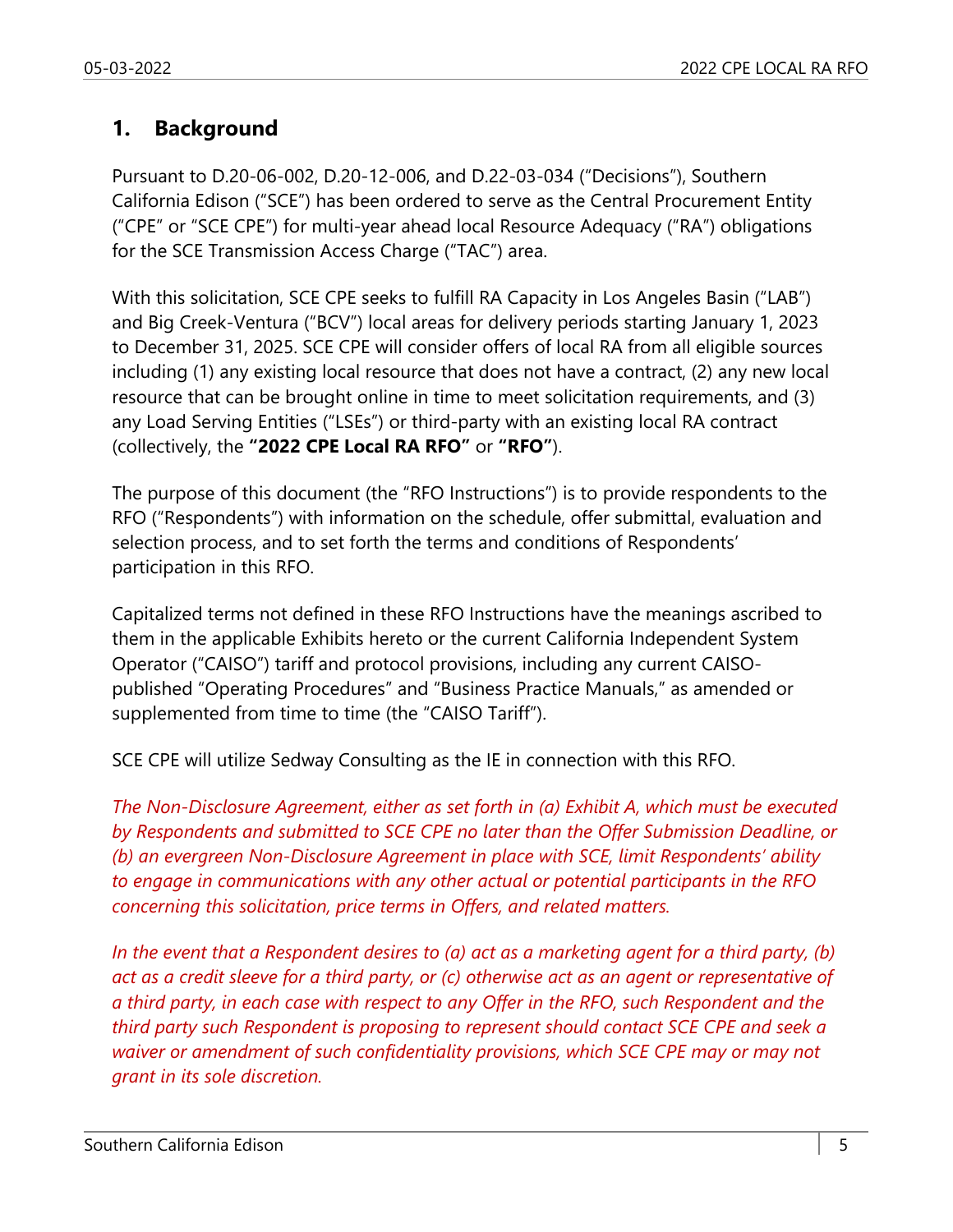## **1. Background**

Pursuant to D.20-06-002, D.20-12-006, and D.22-03-034 ("Decisions"), Southern California Edison ("SCE") has been ordered to serve as the Central Procurement Entity ("CPE" or "SCE CPE") for multi-year ahead local Resource Adequacy ("RA") obligations for the SCE Transmission Access Charge ("TAC") area.

With this solicitation, SCE CPE seeks to fulfill RA Capacity in Los Angeles Basin ("LAB") and Big Creek-Ventura ("BCV") local areas for delivery periods starting January 1, 2023 to December 31, 2025. SCE CPE will consider offers of local RA from all eligible sources including (1) any existing local resource that does not have a contract, (2) any new local resource that can be brought online in time to meet solicitation requirements, and (3) any Load Serving Entities ("LSEs") or third-party with an existing local RA contract (collectively, the **"2022 CPE Local RA RFO"** or **"RFO"**).

The purpose of this document (the "RFO Instructions") is to provide respondents to the RFO ("Respondents") with information on the schedule, offer submittal, evaluation and selection process, and to set forth the terms and conditions of Respondents' participation in this RFO.

Capitalized terms not defined in these RFO Instructions have the meanings ascribed to them in the applicable Exhibits hereto or the current California Independent System Operator ("CAISO") tariff and protocol provisions, including any current CAISOpublished "Operating Procedures" and "Business Practice Manuals," as amended or supplemented from time to time (the "CAISO Tariff").

SCE CPE will utilize Sedway Consulting as the IE in connection with this RFO.

*The Non-Disclosure Agreement, either as set forth in (a) Exhibit A, which must be executed by Respondents and submitted to SCE CPE no later than the Offer Submission Deadline, or (b) an evergreen Non-Disclosure Agreement in place with SCE, limit Respondents' ability to engage in communications with any other actual or potential participants in the RFO concerning this solicitation, price terms in Offers, and related matters.* 

*In the event that a Respondent desires to (a) act as a marketing agent for a third party, (b) act as a credit sleeve for a third party, or (c) otherwise act as an agent or representative of a third party, in each case with respect to any Offer in the RFO, such Respondent and the third party such Respondent is proposing to represent should contact SCE CPE and seek a waiver or amendment of such confidentiality provisions, which SCE CPE may or may not grant in its sole discretion.*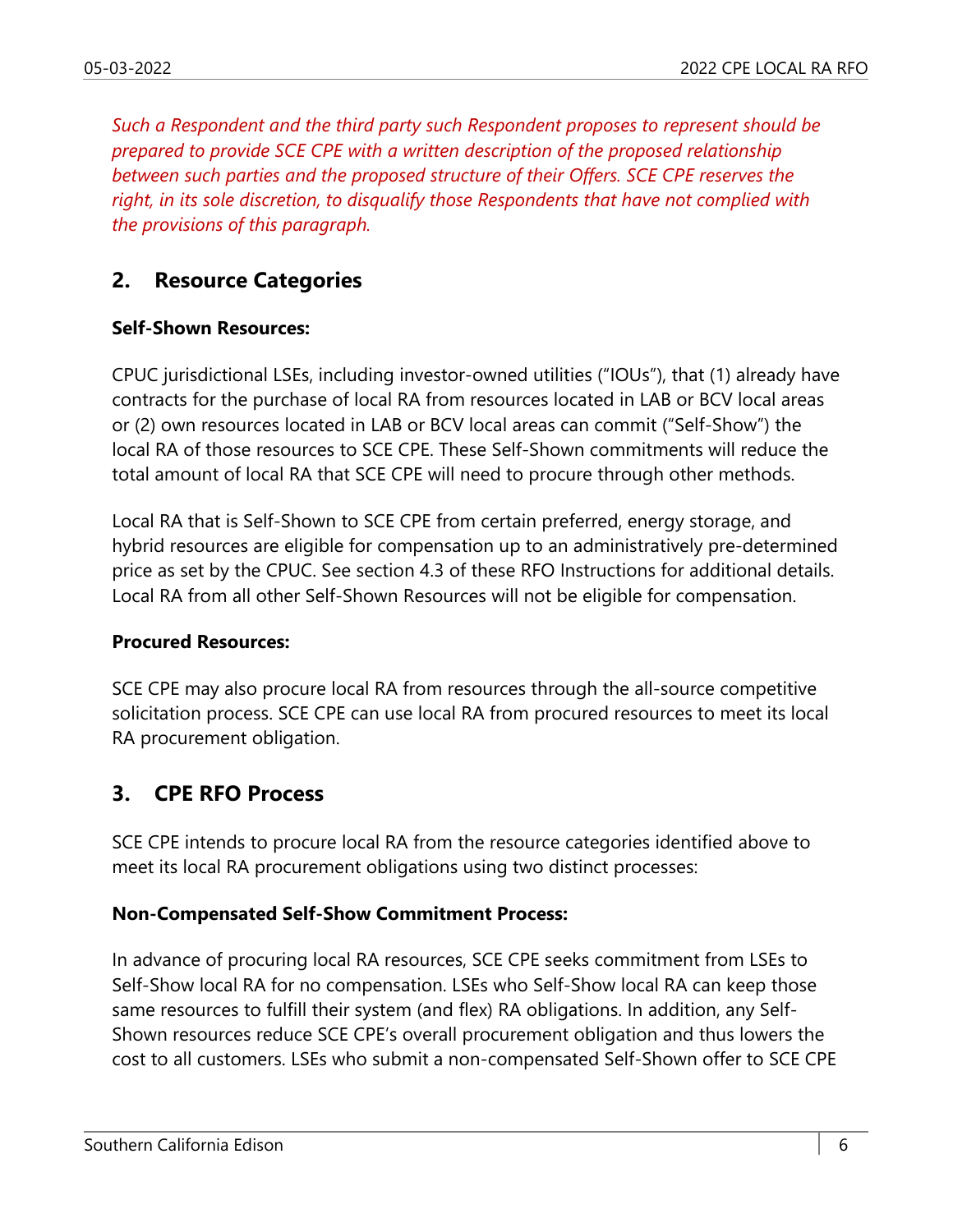*Such a Respondent and the third party such Respondent proposes to represent should be prepared to provide SCE CPE with a written description of the proposed relationship between such parties and the proposed structure of their Offers. SCE CPE reserves the right, in its sole discretion, to disqualify those Respondents that have not complied with the provisions of this paragraph.* 

## **2. Resource Categories**

#### **Self-Shown Resources:**

CPUC jurisdictional LSEs, including investor-owned utilities ("IOUs"), that (1) already have contracts for the purchase of local RA from resources located in LAB or BCV local areas or (2) own resources located in LAB or BCV local areas can commit ("Self-Show") the local RA of those resources to SCE CPE. These Self-Shown commitments will reduce the total amount of local RA that SCE CPE will need to procure through other methods.

Local RA that is Self-Shown to SCE CPE from certain preferred, energy storage, and hybrid resources are eligible for compensation up to an administratively pre-determined price as set by the CPUC. See section 4.3 of these RFO Instructions for additional details. Local RA from all other Self-Shown Resources will not be eligible for compensation.

#### **Procured Resources:**

SCE CPE may also procure local RA from resources through the all-source competitive solicitation process. SCE CPE can use local RA from procured resources to meet its local RA procurement obligation.

## **3. CPE RFO Process**

SCE CPE intends to procure local RA from the resource categories identified above to meet its local RA procurement obligations using two distinct processes:

#### **Non-Compensated Self-Show Commitment Process:**

In advance of procuring local RA resources, SCE CPE seeks commitment from LSEs to Self-Show local RA for no compensation. LSEs who Self-Show local RA can keep those same resources to fulfill their system (and flex) RA obligations. In addition, any Self-Shown resources reduce SCE CPE's overall procurement obligation and thus lowers the cost to all customers. LSEs who submit a non-compensated Self-Shown offer to SCE CPE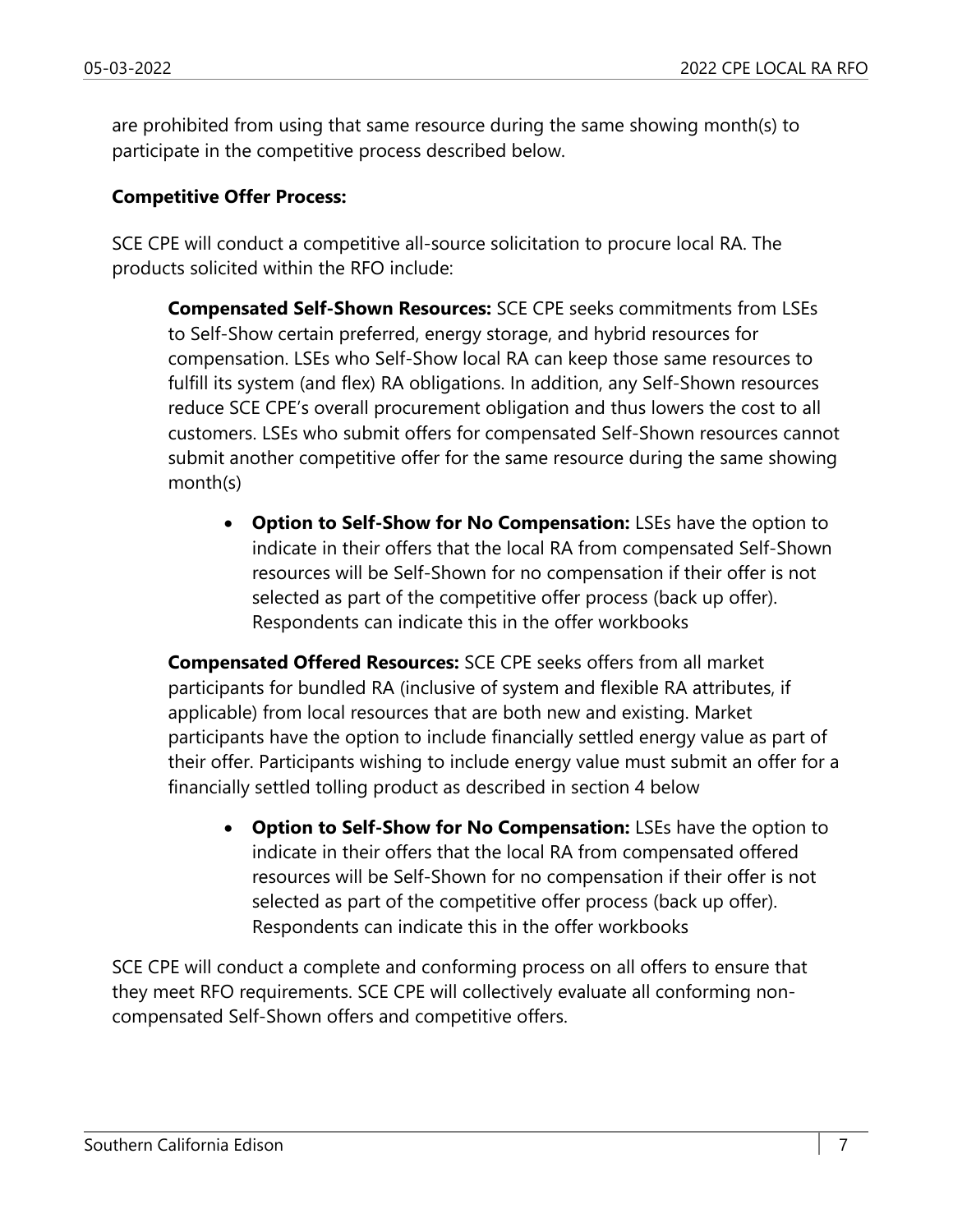are prohibited from using that same resource during the same showing month(s) to participate in the competitive process described below.

#### **Competitive Offer Process:**

SCE CPE will conduct a competitive all-source solicitation to procure local RA. The products solicited within the RFO include:

**Compensated Self-Shown Resources:** SCE CPE seeks commitments from LSEs to Self-Show certain preferred, energy storage, and hybrid resources for compensation. LSEs who Self-Show local RA can keep those same resources to fulfill its system (and flex) RA obligations. In addition, any Self-Shown resources reduce SCE CPE's overall procurement obligation and thus lowers the cost to all customers. LSEs who submit offers for compensated Self-Shown resources cannot submit another competitive offer for the same resource during the same showing month(s)

 **Option to Self-Show for No Compensation:** LSEs have the option to indicate in their offers that the local RA from compensated Self-Shown resources will be Self-Shown for no compensation if their offer is not selected as part of the competitive offer process (back up offer). Respondents can indicate this in the offer workbooks

**Compensated Offered Resources:** SCE CPE seeks offers from all market participants for bundled RA (inclusive of system and flexible RA attributes, if applicable) from local resources that are both new and existing. Market participants have the option to include financially settled energy value as part of their offer. Participants wishing to include energy value must submit an offer for a financially settled tolling product as described in section 4 below

 **Option to Self-Show for No Compensation:** LSEs have the option to indicate in their offers that the local RA from compensated offered resources will be Self-Shown for no compensation if their offer is not selected as part of the competitive offer process (back up offer). Respondents can indicate this in the offer workbooks

SCE CPE will conduct a complete and conforming process on all offers to ensure that they meet RFO requirements. SCE CPE will collectively evaluate all conforming noncompensated Self-Shown offers and competitive offers.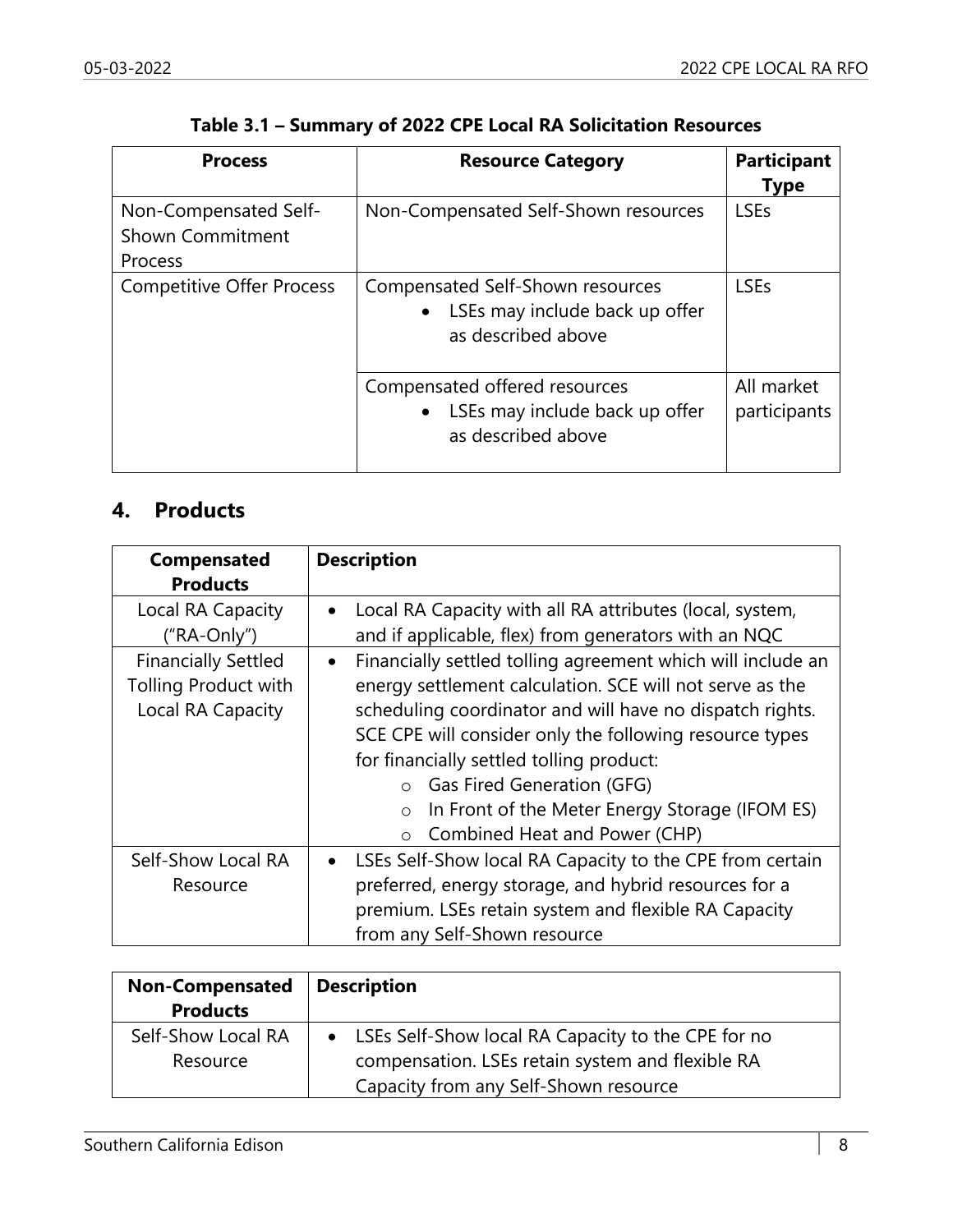| <b>Process</b>                                                     | <b>Resource Category</b>                                                                 | <b>Participant</b><br><b>Type</b> |
|--------------------------------------------------------------------|------------------------------------------------------------------------------------------|-----------------------------------|
| Non-Compensated Self-<br><b>Shown Commitment</b><br><b>Process</b> | Non-Compensated Self-Shown resources                                                     | <b>LSEs</b>                       |
| <b>Competitive Offer Process</b>                                   | Compensated Self-Shown resources<br>LSEs may include back up offer<br>as described above | <b>LSEs</b>                       |
|                                                                    | Compensated offered resources<br>LSEs may include back up offer<br>as described above    | All market<br>participants        |

#### **Table 3.1 – Summary of 2022 CPE Local RA Solicitation Resources**

## **4. Products**

| <b>Compensated</b><br><b>Products</b> | <b>Description</b>                                                       |
|---------------------------------------|--------------------------------------------------------------------------|
| Local RA Capacity                     | Local RA Capacity with all RA attributes (local, system,<br>$\bullet$    |
| ("RA-Only")                           | and if applicable, flex) from generators with an NQC                     |
| <b>Financially Settled</b>            | Financially settled tolling agreement which will include an<br>$\bullet$ |
| <b>Tolling Product with</b>           | energy settlement calculation. SCE will not serve as the                 |
| Local RA Capacity                     | scheduling coordinator and will have no dispatch rights.                 |
|                                       | SCE CPE will consider only the following resource types                  |
|                                       | for financially settled tolling product:                                 |
|                                       | Gas Fired Generation (GFG)                                               |
|                                       | In Front of the Meter Energy Storage (IFOM ES)<br>$\circ$                |
|                                       | Combined Heat and Power (CHP)<br>$\Omega$                                |
| Self-Show Local RA                    | LSEs Self-Show local RA Capacity to the CPE from certain<br>$\bullet$    |
| Resource                              | preferred, energy storage, and hybrid resources for a                    |
|                                       | premium. LSEs retain system and flexible RA Capacity                     |
|                                       | from any Self-Shown resource                                             |

| <b>Non-Compensated</b><br><b>Products</b> | <b>Description</b>                                                                                       |
|-------------------------------------------|----------------------------------------------------------------------------------------------------------|
| Self-Show Local RA<br>Resource            | • LSEs Self-Show local RA Capacity to the CPE for no<br>compensation. LSEs retain system and flexible RA |
|                                           | Capacity from any Self-Shown resource                                                                    |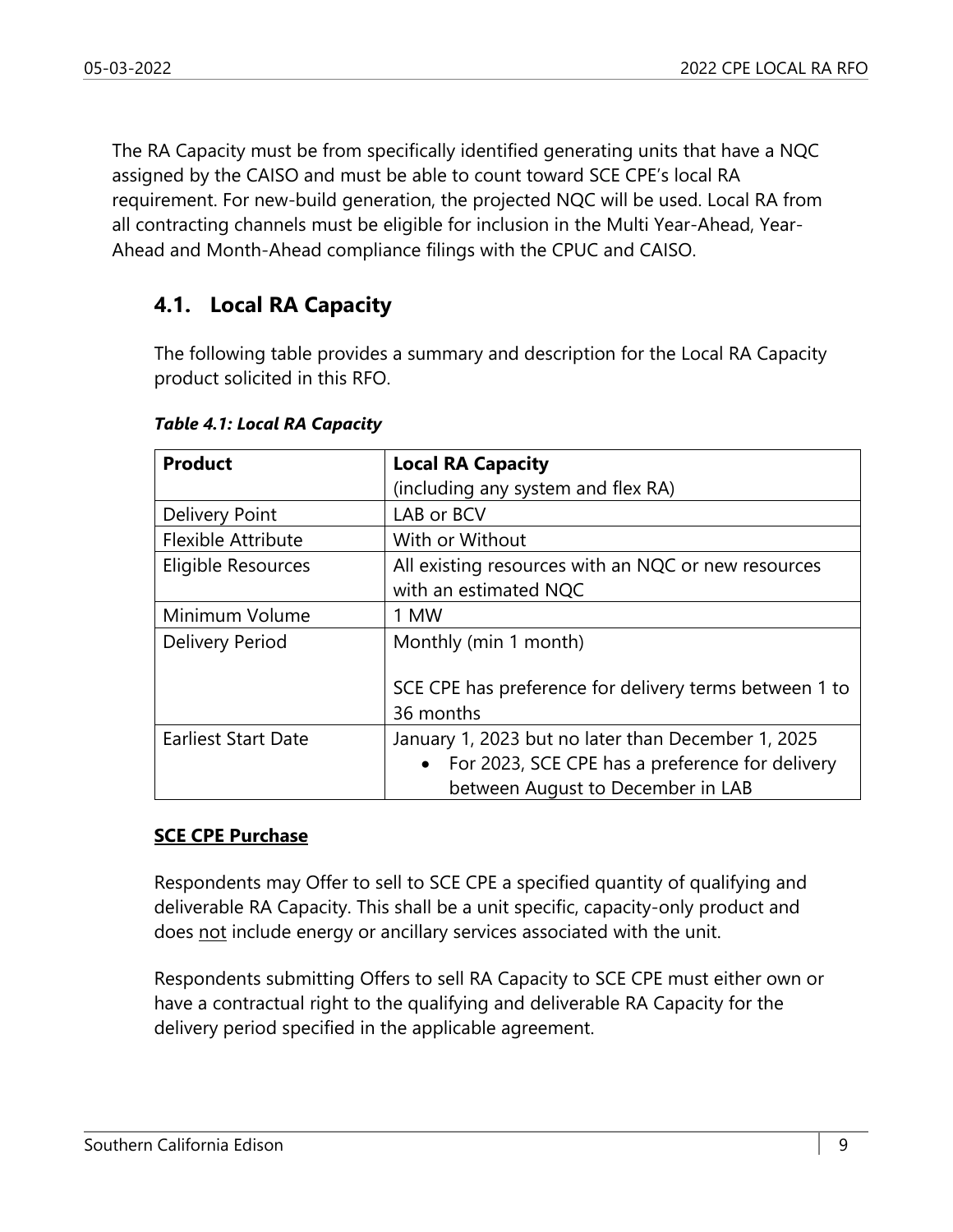The RA Capacity must be from specifically identified generating units that have a NQC assigned by the CAISO and must be able to count toward SCE CPE's local RA requirement. For new-build generation, the projected NQC will be used. Local RA from all contracting channels must be eligible for inclusion in the Multi Year-Ahead, Year-Ahead and Month-Ahead compliance filings with the CPUC and CAISO.

## **4.1. Local RA Capacity**

The following table provides a summary and description for the Local RA Capacity product solicited in this RFO.

| <b>Product</b>             | <b>Local RA Capacity</b>                                                     |
|----------------------------|------------------------------------------------------------------------------|
|                            | (including any system and flex RA)                                           |
| Delivery Point             | LAB or BCV                                                                   |
| <b>Flexible Attribute</b>  | With or Without                                                              |
| Eligible Resources         | All existing resources with an NQC or new resources<br>with an estimated NQC |
| Minimum Volume             | 1 MW                                                                         |
| <b>Delivery Period</b>     | Monthly (min 1 month)                                                        |
|                            | SCE CPE has preference for delivery terms between 1 to<br>36 months          |
| <b>Earliest Start Date</b> | January 1, 2023 but no later than December 1, 2025                           |
|                            | • For 2023, SCE CPE has a preference for delivery                            |
|                            | between August to December in LAB                                            |

*Table 4.1: Local RA Capacity* 

#### **SCE CPE Purchase**

Respondents may Offer to sell to SCE CPE a specified quantity of qualifying and deliverable RA Capacity. This shall be a unit specific, capacity-only product and does not include energy or ancillary services associated with the unit.

Respondents submitting Offers to sell RA Capacity to SCE CPE must either own or have a contractual right to the qualifying and deliverable RA Capacity for the delivery period specified in the applicable agreement.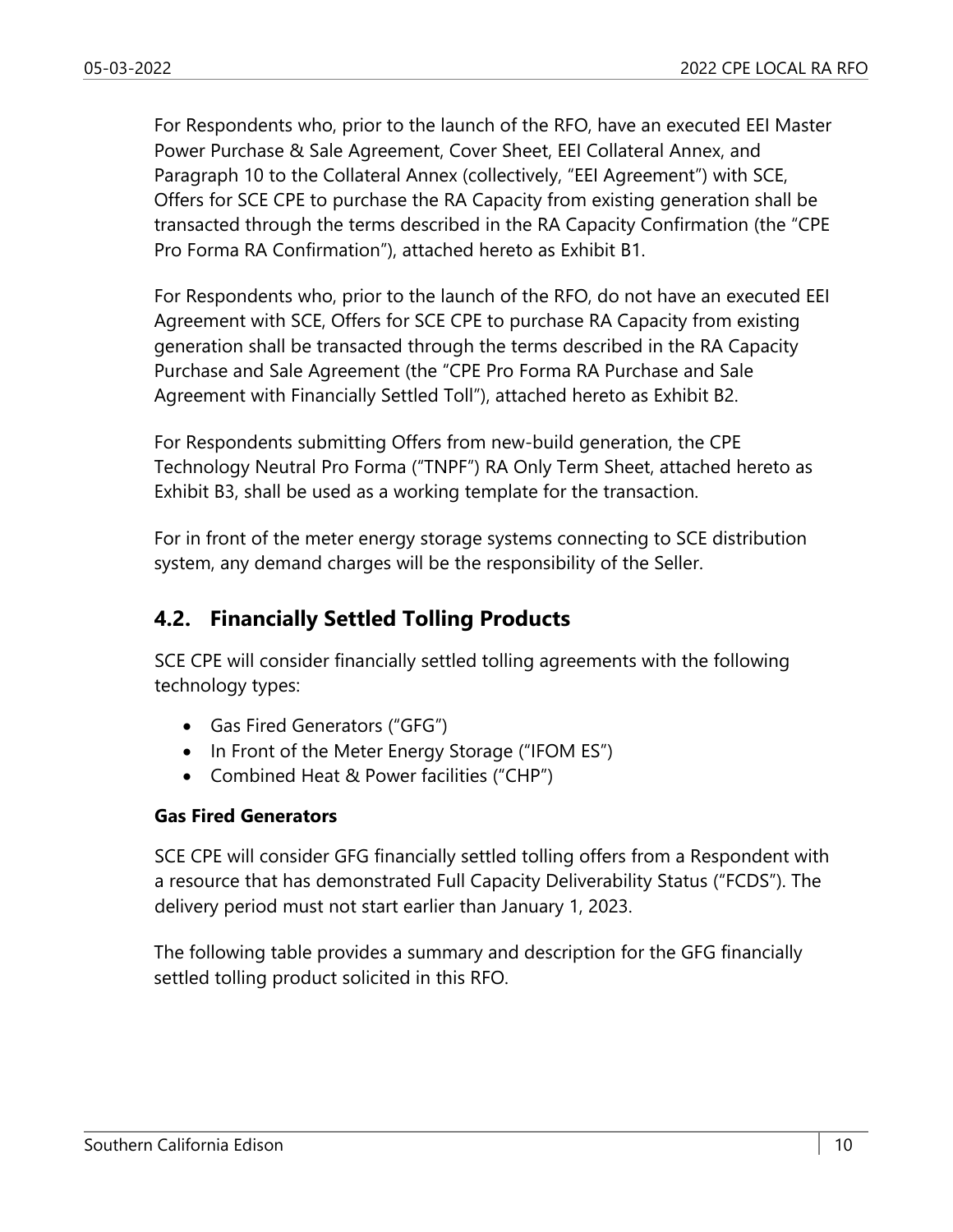For Respondents who, prior to the launch of the RFO, have an executed EEI Master Power Purchase & Sale Agreement, Cover Sheet, EEI Collateral Annex, and Paragraph 10 to the Collateral Annex (collectively, "EEI Agreement") with SCE, Offers for SCE CPE to purchase the RA Capacity from existing generation shall be transacted through the terms described in the RA Capacity Confirmation (the "CPE Pro Forma RA Confirmation"), attached hereto as Exhibit B1.

For Respondents who, prior to the launch of the RFO, do not have an executed EEI Agreement with SCE, Offers for SCE CPE to purchase RA Capacity from existing generation shall be transacted through the terms described in the RA Capacity Purchase and Sale Agreement (the "CPE Pro Forma RA Purchase and Sale Agreement with Financially Settled Toll"), attached hereto as Exhibit B2.

For Respondents submitting Offers from new-build generation, the CPE Technology Neutral Pro Forma ("TNPF") RA Only Term Sheet, attached hereto as Exhibit B3, shall be used as a working template for the transaction.

For in front of the meter energy storage systems connecting to SCE distribution system, any demand charges will be the responsibility of the Seller.

#### **4.2. Financially Settled Tolling Products**

SCE CPE will consider financially settled tolling agreements with the following technology types:

- Gas Fired Generators ("GFG")
- In Front of the Meter Energy Storage ("IFOM ES")
- Combined Heat & Power facilities ("CHP")

#### **Gas Fired Generators**

SCE CPE will consider GFG financially settled tolling offers from a Respondent with a resource that has demonstrated Full Capacity Deliverability Status ("FCDS"). The delivery period must not start earlier than January 1, 2023.

The following table provides a summary and description for the GFG financially settled tolling product solicited in this RFO.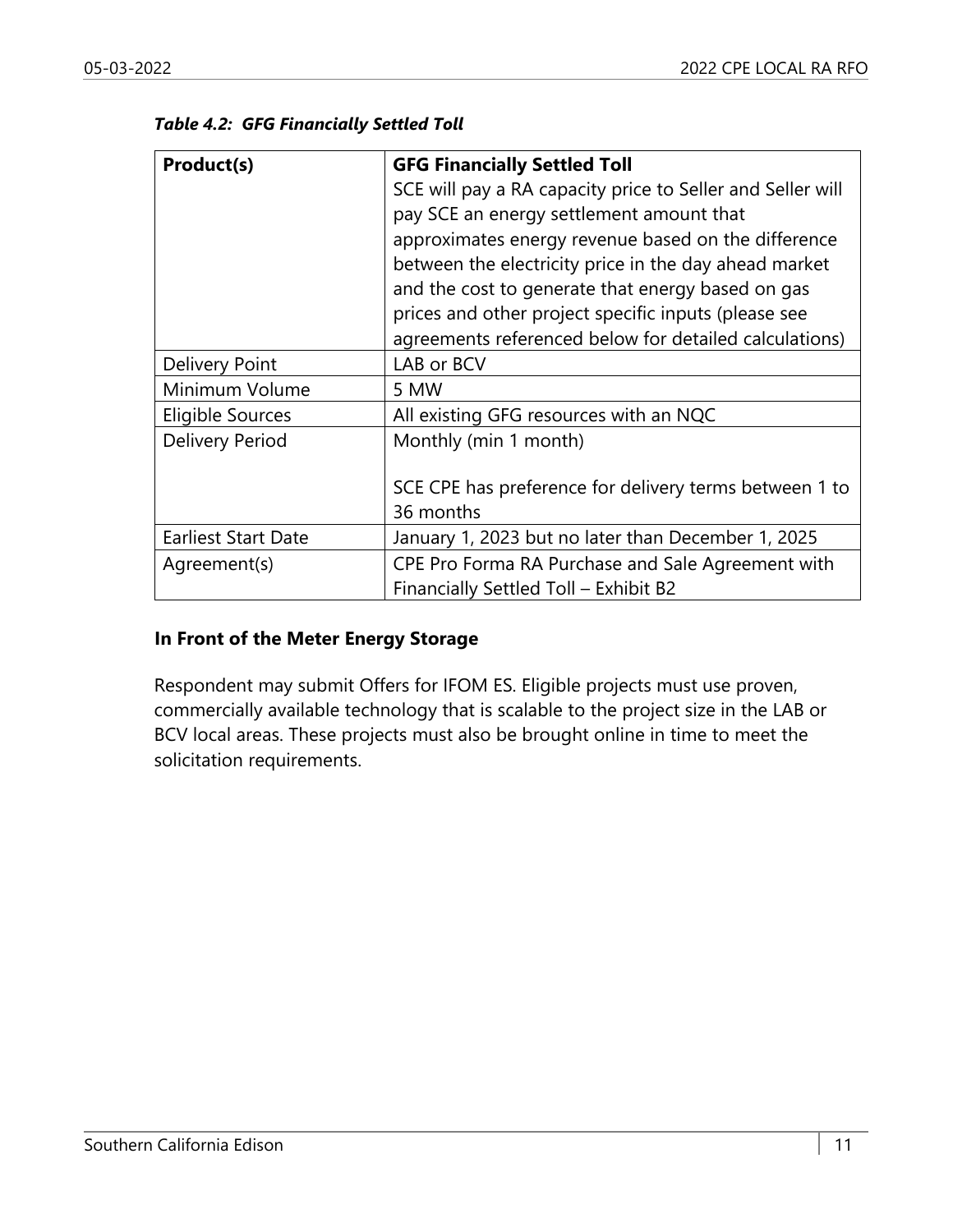| <b>Product(s)</b> | <b>GFG Financially Settled Toll</b>                        |
|-------------------|------------------------------------------------------------|
|                   | SCE will pay a RA capacity price to Seller and Seller will |
|                   | pay SCE an energy settlement amount that                   |
|                   | approximates energy revenue based on the difference        |
|                   | between the electricity price in the day ahead market      |
|                   | and the cost to generate that energy based on gas          |
|                   | prices and other project specific inputs (please see       |
|                   | agreements referenced below for detailed calculations)     |

Eligible Sources | All existing GFG resources with an NQC

36 months

#### *Table 4.2: GFG Financially Settled Toll*

#### **In Front of the Meter Energy Storage**

Delivery Point | LAB or BCV

Delivery Period | Monthly (min 1 month)

Minimum Volume | 5 MW

Respondent may submit Offers for IFOM ES. Eligible projects must use proven, commercially available technology that is scalable to the project size in the LAB or BCV local areas. These projects must also be brought online in time to meet the solicitation requirements.

Earliest Start Date | January 1, 2023 but no later than December 1, 2025 Agreement(s) CPE Pro Forma RA Purchase and Sale Agreement with

Financially Settled Toll – Exhibit B2

SCE CPE has preference for delivery terms between 1 to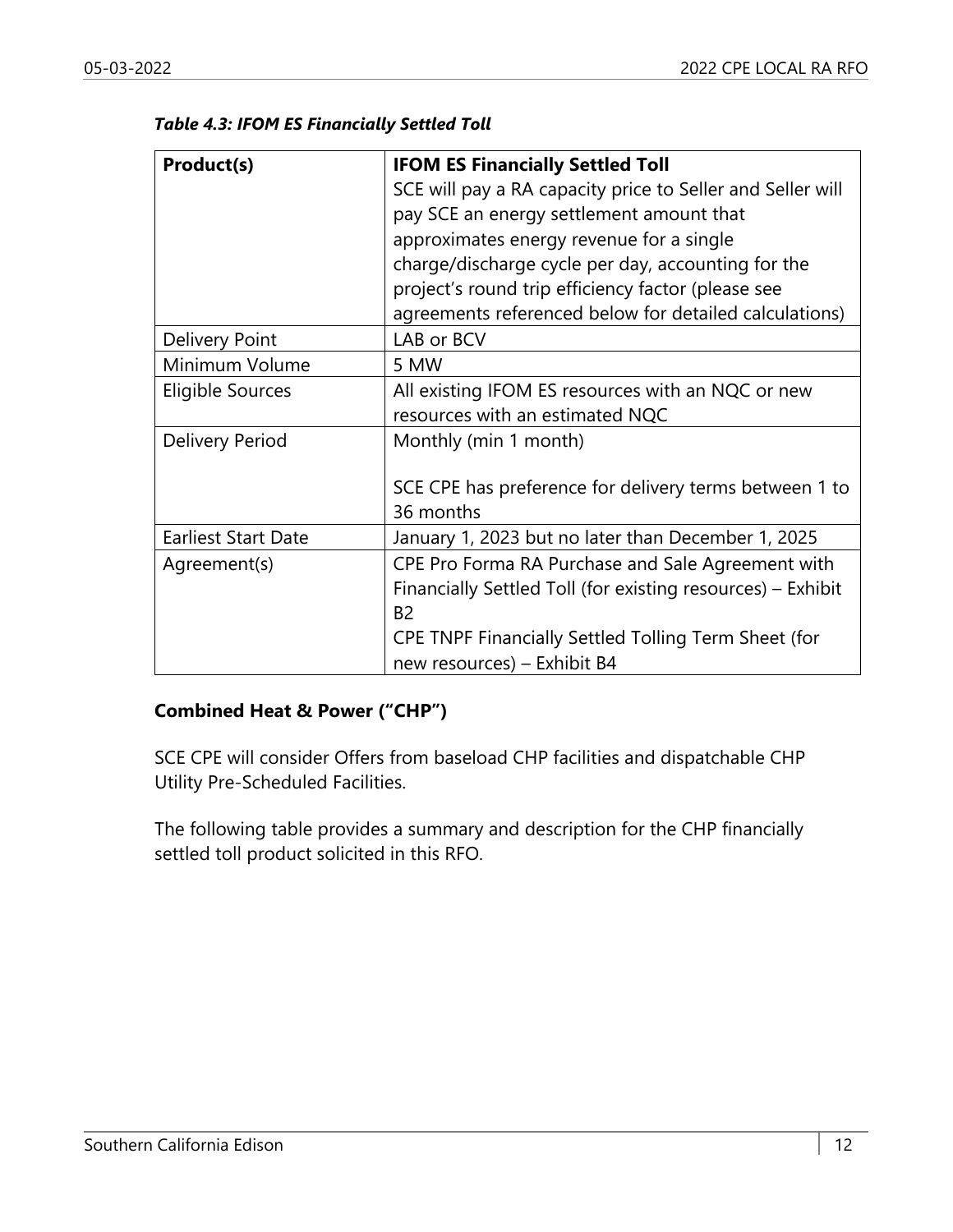| Product(s)                 | <b>IFOM ES Financially Settled Toll</b>                     |
|----------------------------|-------------------------------------------------------------|
|                            | SCE will pay a RA capacity price to Seller and Seller will  |
|                            | pay SCE an energy settlement amount that                    |
|                            | approximates energy revenue for a single                    |
|                            | charge/discharge cycle per day, accounting for the          |
|                            | project's round trip efficiency factor (please see          |
|                            | agreements referenced below for detailed calculations)      |
| <b>Delivery Point</b>      | LAB or BCV                                                  |
| Minimum Volume             | 5 MW                                                        |
| Eligible Sources           | All existing IFOM ES resources with an NQC or new           |
|                            | resources with an estimated NQC                             |
| Delivery Period            | Monthly (min 1 month)                                       |
|                            |                                                             |
|                            | SCE CPE has preference for delivery terms between 1 to      |
|                            | 36 months                                                   |
| <b>Earliest Start Date</b> | January 1, 2023 but no later than December 1, 2025          |
| Agreement(s)               | CPE Pro Forma RA Purchase and Sale Agreement with           |
|                            | Financially Settled Toll (for existing resources) - Exhibit |
|                            | <b>B2</b>                                                   |
|                            | CPE TNPF Financially Settled Tolling Term Sheet (for        |
|                            | new resources) - Exhibit B4                                 |

#### **Combined Heat & Power ("CHP")**

SCE CPE will consider Offers from baseload CHP facilities and dispatchable CHP Utility Pre-Scheduled Facilities.

The following table provides a summary and description for the CHP financially settled toll product solicited in this RFO.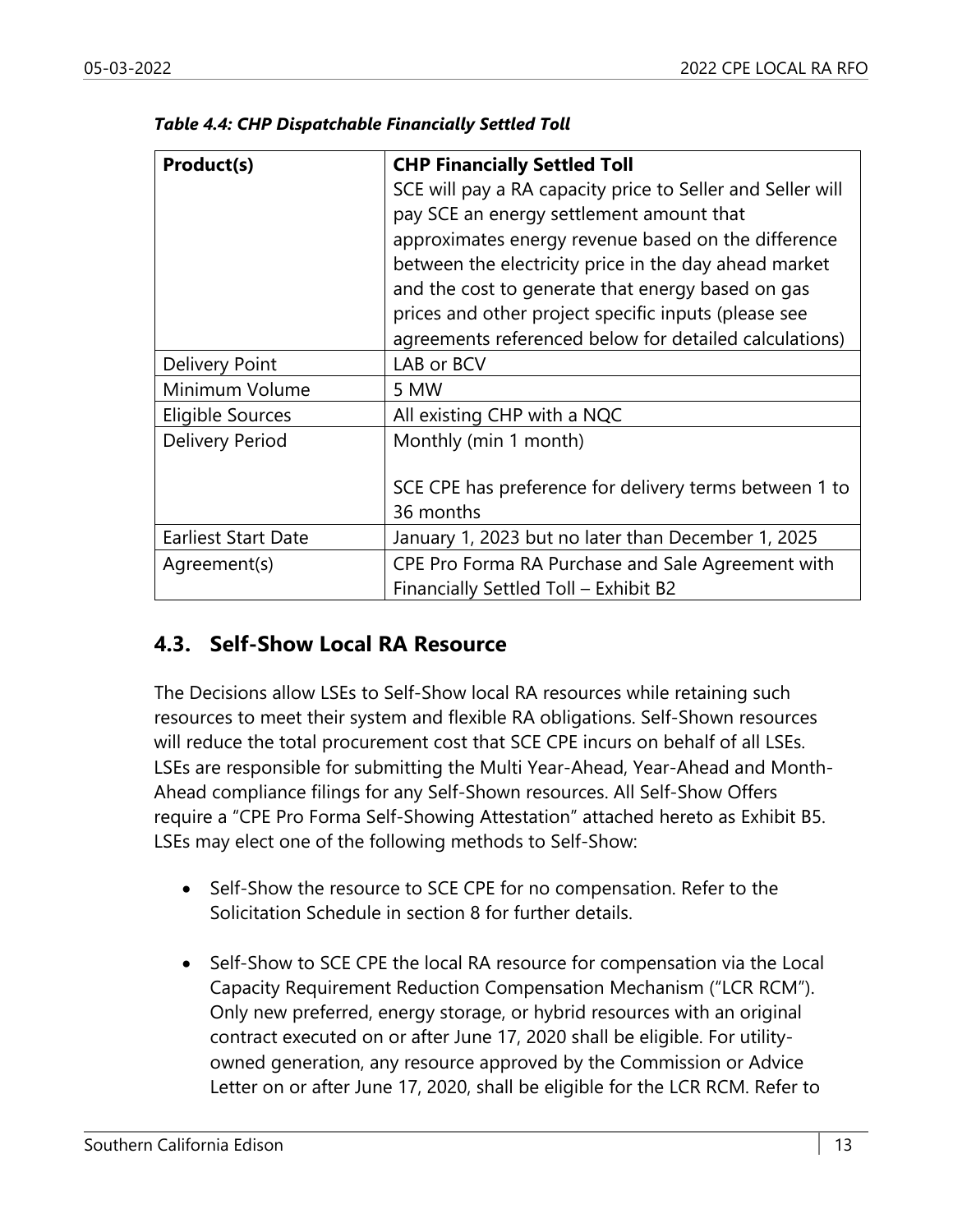| Product(s)                 | <b>CHP Financially Settled Toll</b>                        |
|----------------------------|------------------------------------------------------------|
|                            | SCE will pay a RA capacity price to Seller and Seller will |
|                            | pay SCE an energy settlement amount that                   |
|                            | approximates energy revenue based on the difference        |
|                            | between the electricity price in the day ahead market      |
|                            | and the cost to generate that energy based on gas          |
|                            | prices and other project specific inputs (please see       |
|                            | agreements referenced below for detailed calculations)     |
| <b>Delivery Point</b>      | LAB or BCV                                                 |
| Minimum Volume             | 5 MW                                                       |
| Eligible Sources           | All existing CHP with a NQC                                |
| Delivery Period            | Monthly (min 1 month)                                      |
|                            |                                                            |
|                            | SCE CPE has preference for delivery terms between 1 to     |
|                            | 36 months                                                  |
| <b>Earliest Start Date</b> | January 1, 2023 but no later than December 1, 2025         |
| Agreement(s)               | CPE Pro Forma RA Purchase and Sale Agreement with          |
|                            | Financially Settled Toll - Exhibit B2                      |

*Table 4.4: CHP Dispatchable Financially Settled Toll* 

#### **4.3. Self-Show Local RA Resource**

The Decisions allow LSEs to Self-Show local RA resources while retaining such resources to meet their system and flexible RA obligations. Self-Shown resources will reduce the total procurement cost that SCE CPE incurs on behalf of all LSEs. LSEs are responsible for submitting the Multi Year-Ahead, Year-Ahead and Month-Ahead compliance filings for any Self-Shown resources. All Self-Show Offers require a "CPE Pro Forma Self-Showing Attestation" attached hereto as Exhibit B5. LSEs may elect one of the following methods to Self-Show:

- Self-Show the resource to SCE CPE for no compensation. Refer to the Solicitation Schedule in section 8 for further details.
- Self-Show to SCE CPE the local RA resource for compensation via the Local Capacity Requirement Reduction Compensation Mechanism ("LCR RCM"). Only new preferred, energy storage, or hybrid resources with an original contract executed on or after June 17, 2020 shall be eligible. For utilityowned generation, any resource approved by the Commission or Advice Letter on or after June 17, 2020, shall be eligible for the LCR RCM. Refer to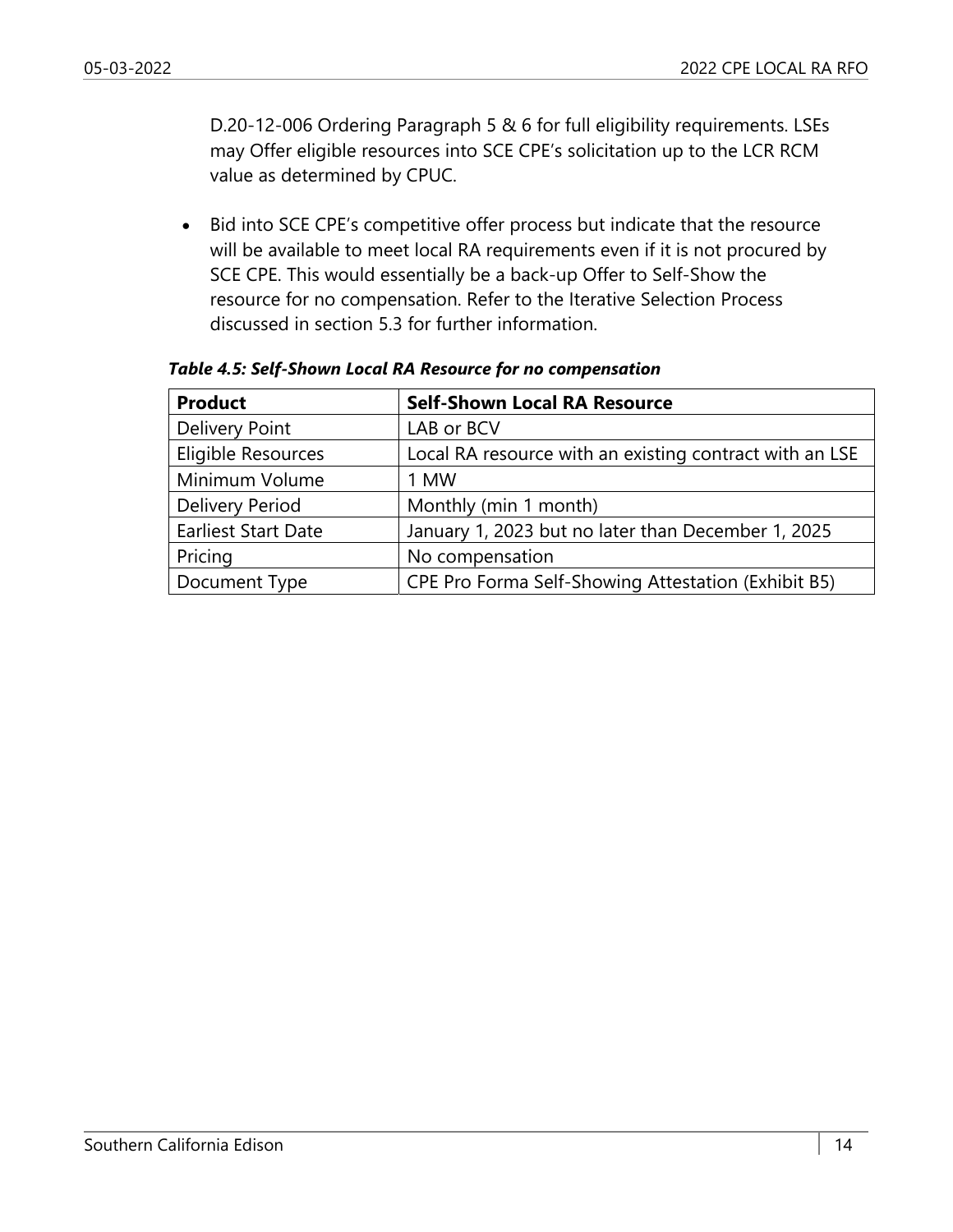D.20-12-006 Ordering Paragraph 5 & 6 for full eligibility requirements. LSEs may Offer eligible resources into SCE CPE's solicitation up to the LCR RCM value as determined by CPUC.

• Bid into SCE CPE's competitive offer process but indicate that the resource will be available to meet local RA requirements even if it is not procured by SCE CPE. This would essentially be a back-up Offer to Self-Show the resource for no compensation. Refer to the Iterative Selection Process discussed in section 5.3 for further information.

| <b>Product</b>             | <b>Self-Shown Local RA Resource</b>                     |
|----------------------------|---------------------------------------------------------|
| Delivery Point             | LAB or BCV                                              |
| Eligible Resources         | Local RA resource with an existing contract with an LSE |
| Minimum Volume             | 1 MW                                                    |
| Delivery Period            | Monthly (min 1 month)                                   |
| <b>Earliest Start Date</b> | January 1, 2023 but no later than December 1, 2025      |
| Pricing                    | No compensation                                         |
| Document Type              | CPE Pro Forma Self-Showing Attestation (Exhibit B5)     |

*Table 4.5: Self-Shown Local RA Resource for no compensation*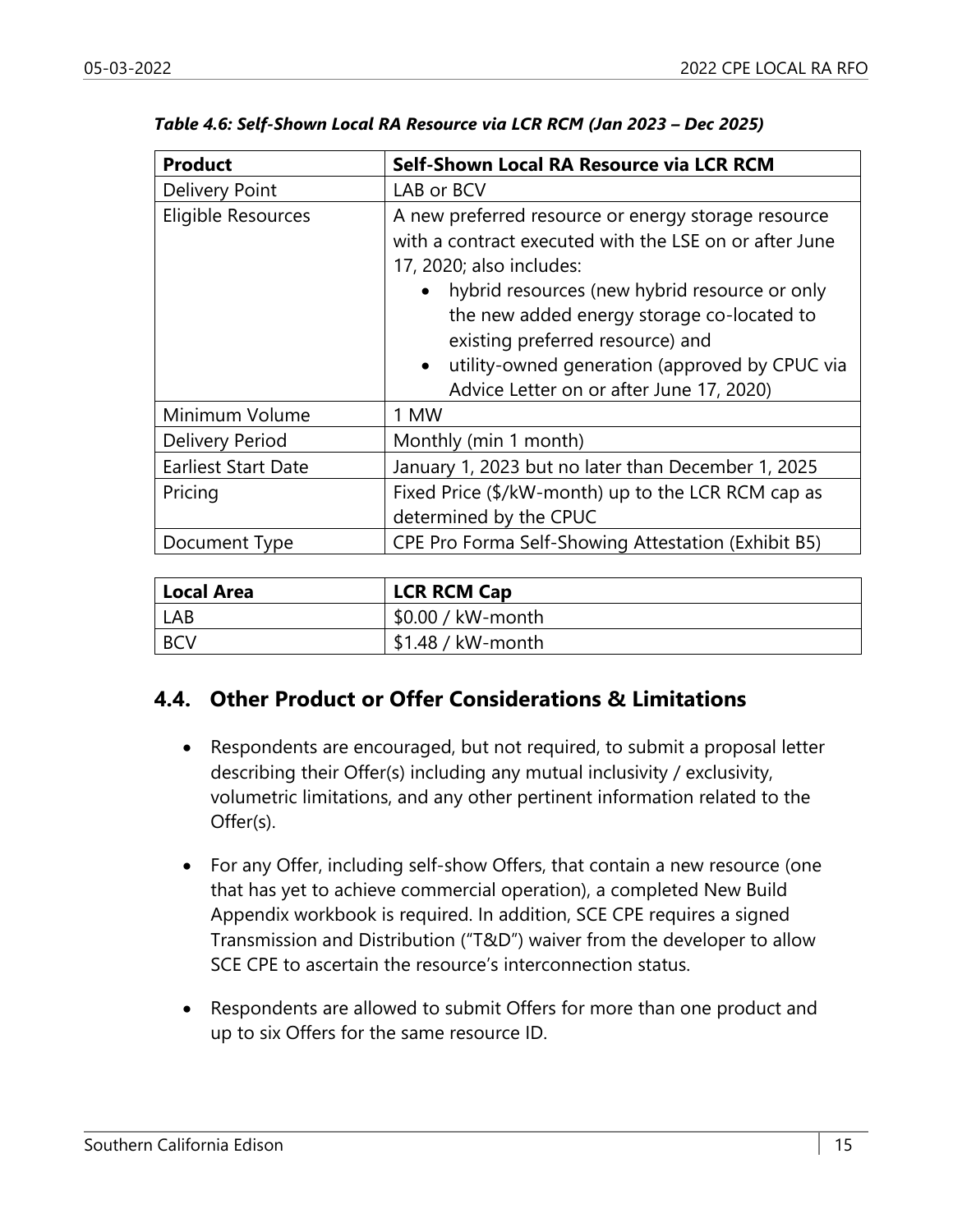| <b>Product</b>             | Self-Shown Local RA Resource via LCR RCM                                                                                                                                                                                                                                                                                                                                                |
|----------------------------|-----------------------------------------------------------------------------------------------------------------------------------------------------------------------------------------------------------------------------------------------------------------------------------------------------------------------------------------------------------------------------------------|
| <b>Delivery Point</b>      | LAB or BCV                                                                                                                                                                                                                                                                                                                                                                              |
| Eligible Resources         | A new preferred resource or energy storage resource<br>with a contract executed with the LSE on or after June<br>17, 2020; also includes:<br>hybrid resources (new hybrid resource or only<br>the new added energy storage co-located to<br>existing preferred resource) and<br>utility-owned generation (approved by CPUC via<br>$\bullet$<br>Advice Letter on or after June 17, 2020) |
| Minimum Volume             | 1 MW                                                                                                                                                                                                                                                                                                                                                                                    |
| Delivery Period            | Monthly (min 1 month)                                                                                                                                                                                                                                                                                                                                                                   |
| <b>Earliest Start Date</b> | January 1, 2023 but no later than December 1, 2025                                                                                                                                                                                                                                                                                                                                      |
| Pricing                    | Fixed Price (\$/kW-month) up to the LCR RCM cap as<br>determined by the CPUC                                                                                                                                                                                                                                                                                                            |
| Document Type              | CPE Pro Forma Self-Showing Attestation (Exhibit B5)                                                                                                                                                                                                                                                                                                                                     |

| Local Area | <b>LCR RCM Cap</b>  |
|------------|---------------------|
| LAB        | $$0.00 / kW$ -month |
| <b>BCV</b> | $$1.48 / kW$ -month |

## **4.4. Other Product or Offer Considerations & Limitations**

- Respondents are encouraged, but not required, to submit a proposal letter describing their Offer(s) including any mutual inclusivity / exclusivity, volumetric limitations, and any other pertinent information related to the Offer(s).
- For any Offer, including self-show Offers, that contain a new resource (one that has yet to achieve commercial operation), a completed New Build Appendix workbook is required. In addition, SCE CPE requires a signed Transmission and Distribution ("T&D") waiver from the developer to allow SCE CPE to ascertain the resource's interconnection status.
- Respondents are allowed to submit Offers for more than one product and up to six Offers for the same resource ID.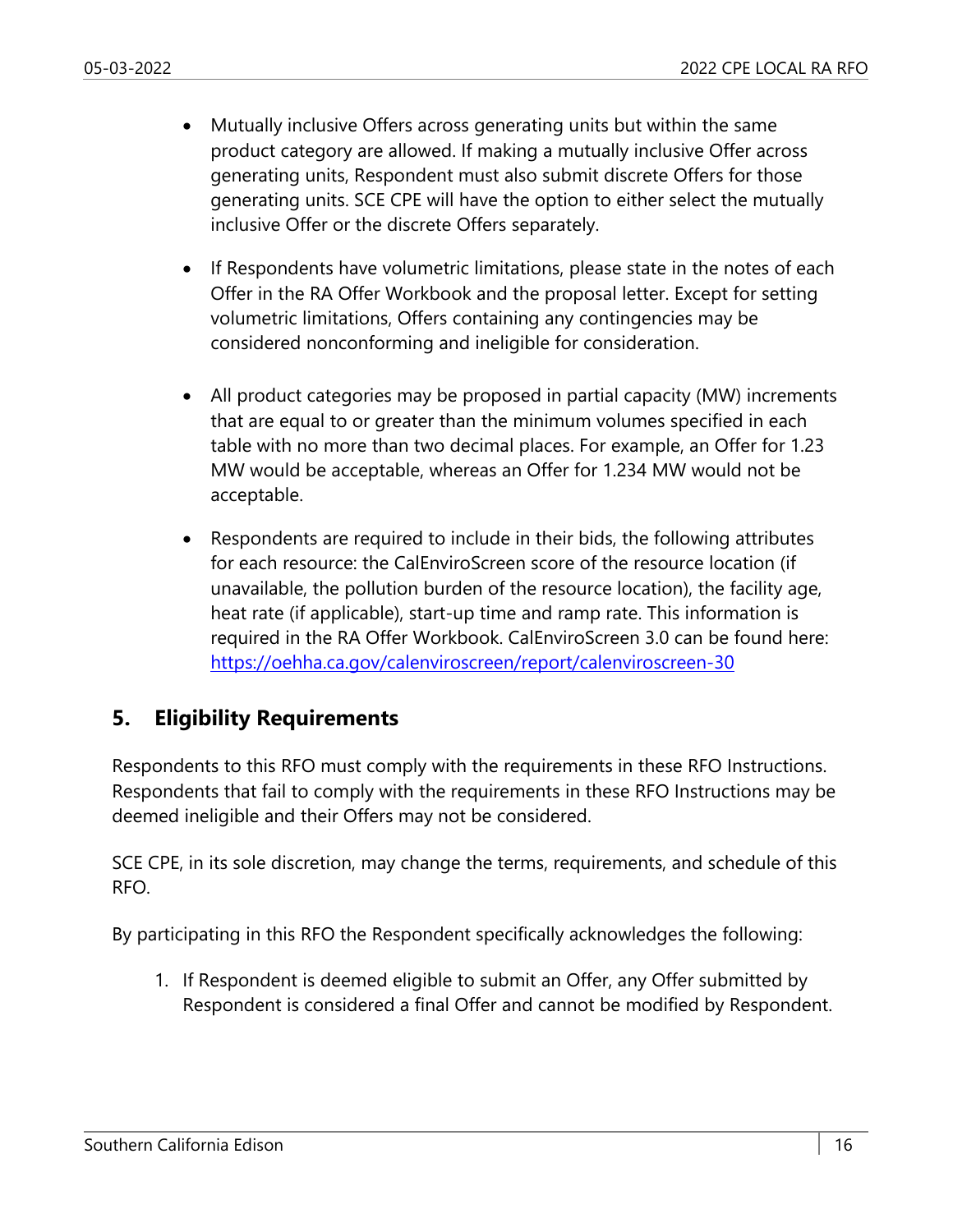- Mutually inclusive Offers across generating units but within the same product category are allowed. If making a mutually inclusive Offer across generating units, Respondent must also submit discrete Offers for those generating units. SCE CPE will have the option to either select the mutually inclusive Offer or the discrete Offers separately.
- If Respondents have volumetric limitations, please state in the notes of each Offer in the RA Offer Workbook and the proposal letter. Except for setting volumetric limitations, Offers containing any contingencies may be considered nonconforming and ineligible for consideration.
- All product categories may be proposed in partial capacity (MW) increments that are equal to or greater than the minimum volumes specified in each table with no more than two decimal places. For example, an Offer for 1.23 MW would be acceptable, whereas an Offer for 1.234 MW would not be acceptable.
- Respondents are required to include in their bids, the following attributes for each resource: the CalEnviroScreen score of the resource location (if unavailable, the pollution burden of the resource location), the facility age, heat rate (if applicable), start-up time and ramp rate. This information is required in the RA Offer Workbook. CalEnviroScreen 3.0 can be found here: https://oehha.ca.gov/calenviroscreen/report/calenviroscreen-30

#### **5. Eligibility Requirements**

Respondents to this RFO must comply with the requirements in these RFO Instructions. Respondents that fail to comply with the requirements in these RFO Instructions may be deemed ineligible and their Offers may not be considered.

SCE CPE, in its sole discretion, may change the terms, requirements, and schedule of this RFO.

By participating in this RFO the Respondent specifically acknowledges the following:

1. If Respondent is deemed eligible to submit an Offer, any Offer submitted by Respondent is considered a final Offer and cannot be modified by Respondent.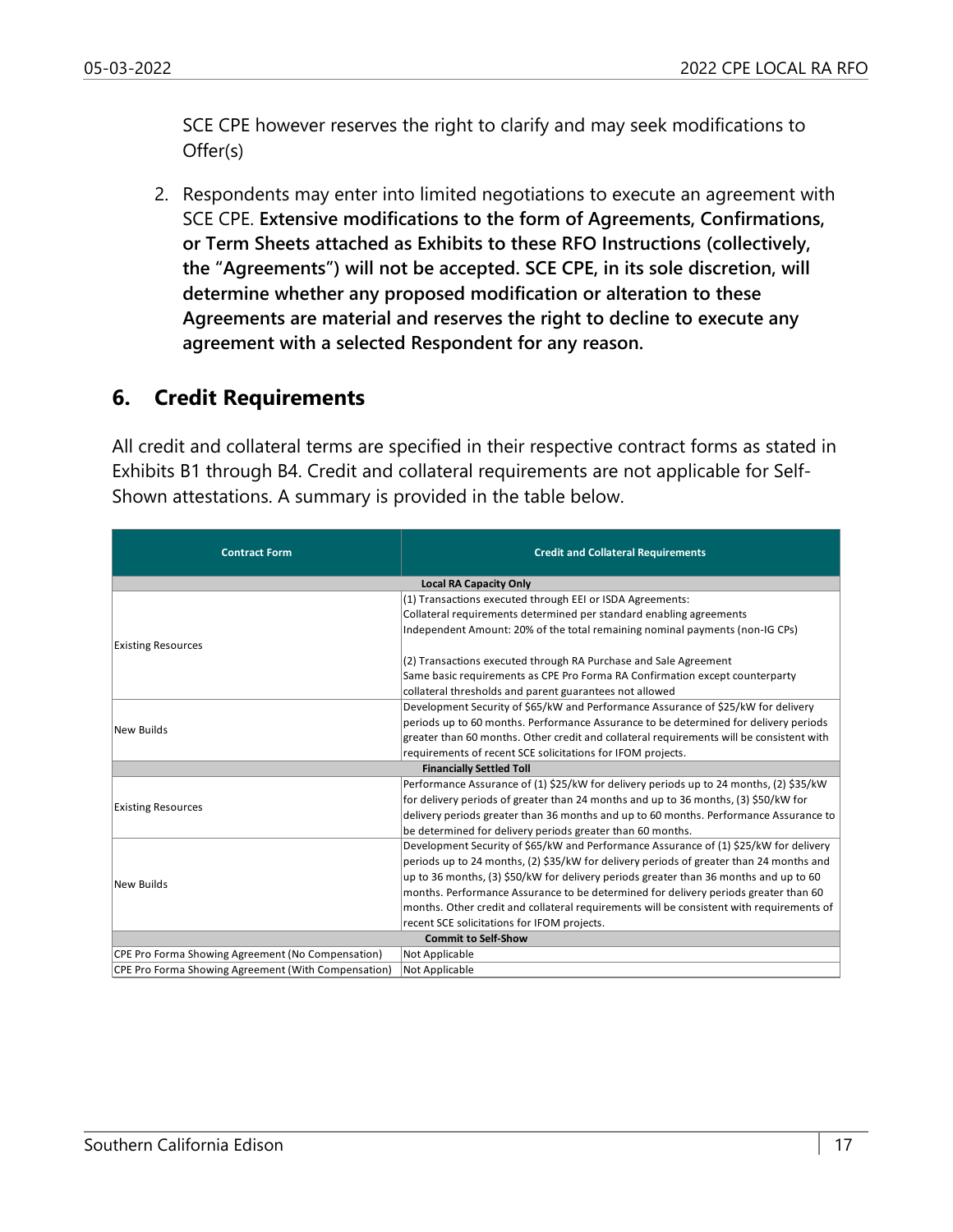SCE CPE however reserves the right to clarify and may seek modifications to Offer(s)

2. Respondents may enter into limited negotiations to execute an agreement with SCE CPE. **Extensive modifications to the form of Agreements, Confirmations, or Term Sheets attached as Exhibits to these RFO Instructions (collectively, the "Agreements") will not be accepted. SCE CPE, in its sole discretion, will determine whether any proposed modification or alteration to these Agreements are material and reserves the right to decline to execute any agreement with a selected Respondent for any reason.**

#### **6. Credit Requirements**

All credit and collateral terms are specified in their respective contract forms as stated in Exhibits B1 through B4. Credit and collateral requirements are not applicable for Self-Shown attestations. A summary is provided in the table below.

| <b>Contract Form</b>                                | <b>Credit and Collateral Requirements</b>                                                |  |
|-----------------------------------------------------|------------------------------------------------------------------------------------------|--|
| <b>Local RA Capacity Only</b>                       |                                                                                          |  |
|                                                     | (1) Transactions executed through EEI or ISDA Agreements:                                |  |
|                                                     | Collateral requirements determined per standard enabling agreements                      |  |
|                                                     | Independent Amount: 20% of the total remaining nominal payments (non-IG CPs)             |  |
| <b>Existing Resources</b>                           |                                                                                          |  |
|                                                     | (2) Transactions executed through RA Purchase and Sale Agreement                         |  |
|                                                     | Same basic requirements as CPE Pro Forma RA Confirmation except counterparty             |  |
|                                                     | collateral thresholds and parent guarantees not allowed                                  |  |
|                                                     | Development Security of \$65/kW and Performance Assurance of \$25/kW for delivery        |  |
| New Builds                                          | periods up to 60 months. Performance Assurance to be determined for delivery periods     |  |
|                                                     | greater than 60 months. Other credit and collateral requirements will be consistent with |  |
|                                                     | requirements of recent SCE solicitations for IFOM projects.                              |  |
| <b>Financially Settled Toll</b>                     |                                                                                          |  |
|                                                     | Performance Assurance of (1) \$25/kW for delivery periods up to 24 months, (2) \$35/kW   |  |
| <b>Existing Resources</b>                           | for delivery periods of greater than 24 months and up to 36 months, (3) \$50/kW for      |  |
|                                                     | delivery periods greater than 36 months and up to 60 months. Performance Assurance to    |  |
|                                                     | be determined for delivery periods greater than 60 months.                               |  |
| New Builds                                          | Development Security of \$65/kW and Performance Assurance of (1) \$25/kW for delivery    |  |
|                                                     | periods up to 24 months, (2) \$35/kW for delivery periods of greater than 24 months and  |  |
|                                                     | up to 36 months, (3) \$50/kW for delivery periods greater than 36 months and up to 60    |  |
|                                                     | months. Performance Assurance to be determined for delivery periods greater than 60      |  |
|                                                     | months. Other credit and collateral requirements will be consistent with requirements of |  |
|                                                     | recent SCE solicitations for IFOM projects.                                              |  |
| <b>Commit to Self-Show</b>                          |                                                                                          |  |
| CPE Pro Forma Showing Agreement (No Compensation)   | Not Applicable                                                                           |  |
| CPE Pro Forma Showing Agreement (With Compensation) | Not Applicable                                                                           |  |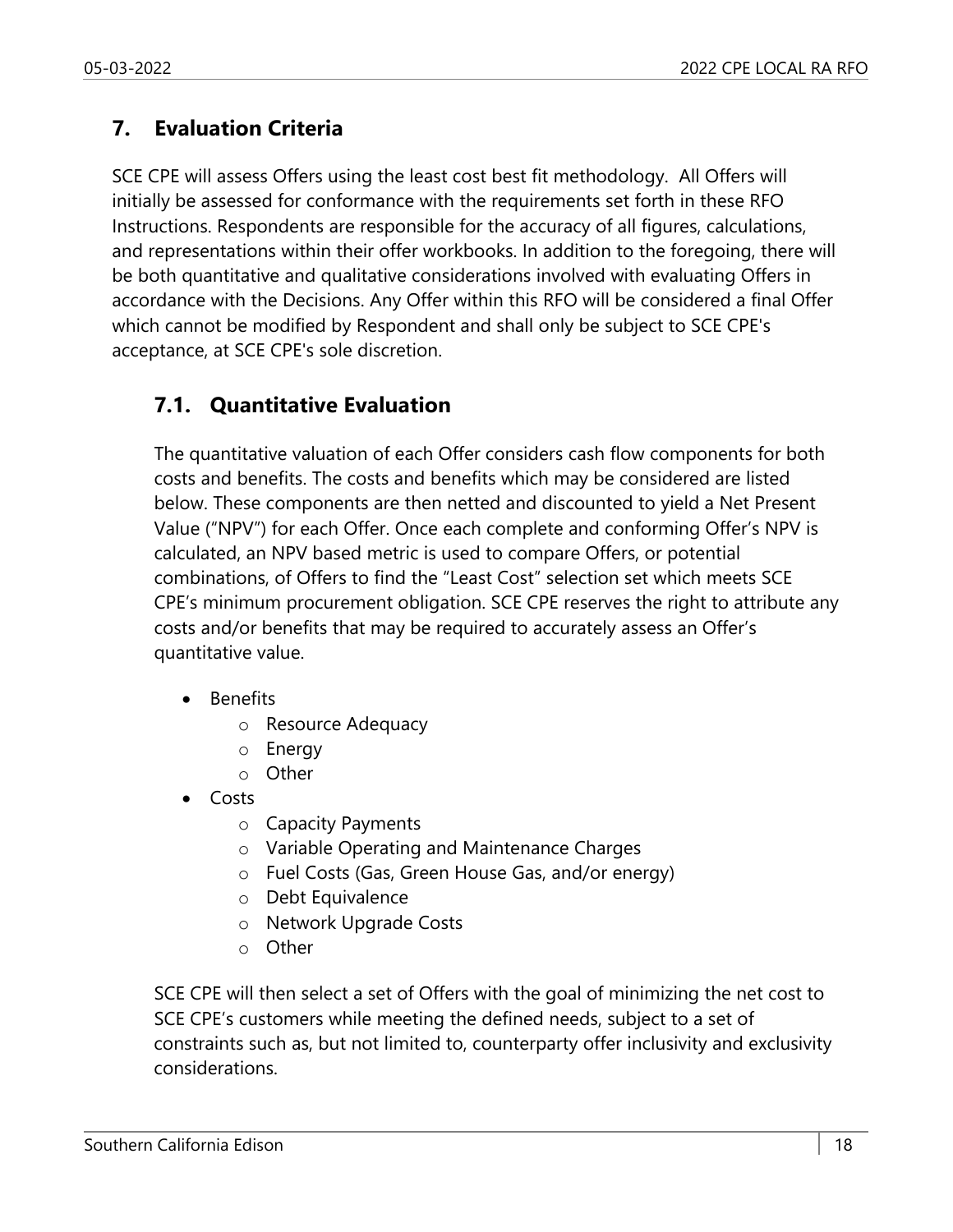## **7. Evaluation Criteria**

SCE CPE will assess Offers using the least cost best fit methodology. All Offers will initially be assessed for conformance with the requirements set forth in these RFO Instructions. Respondents are responsible for the accuracy of all figures, calculations, and representations within their offer workbooks. In addition to the foregoing, there will be both quantitative and qualitative considerations involved with evaluating Offers in accordance with the Decisions. Any Offer within this RFO will be considered a final Offer which cannot be modified by Respondent and shall only be subject to SCE CPE's acceptance, at SCE CPE's sole discretion.

## **7.1. Quantitative Evaluation**

The quantitative valuation of each Offer considers cash flow components for both costs and benefits. The costs and benefits which may be considered are listed below. These components are then netted and discounted to yield a Net Present Value ("NPV") for each Offer. Once each complete and conforming Offer's NPV is calculated, an NPV based metric is used to compare Offers, or potential combinations, of Offers to find the "Least Cost" selection set which meets SCE CPE's minimum procurement obligation. SCE CPE reserves the right to attribute any costs and/or benefits that may be required to accurately assess an Offer's quantitative value.

- Benefits
	- o Resource Adequacy
	- o Energy
	- o Other
- Costs
	- o Capacity Payments
	- o Variable Operating and Maintenance Charges
	- o Fuel Costs (Gas, Green House Gas, and/or energy)
	- o Debt Equivalence
	- o Network Upgrade Costs
	- o Other

SCE CPE will then select a set of Offers with the goal of minimizing the net cost to SCE CPE's customers while meeting the defined needs, subject to a set of constraints such as, but not limited to, counterparty offer inclusivity and exclusivity considerations.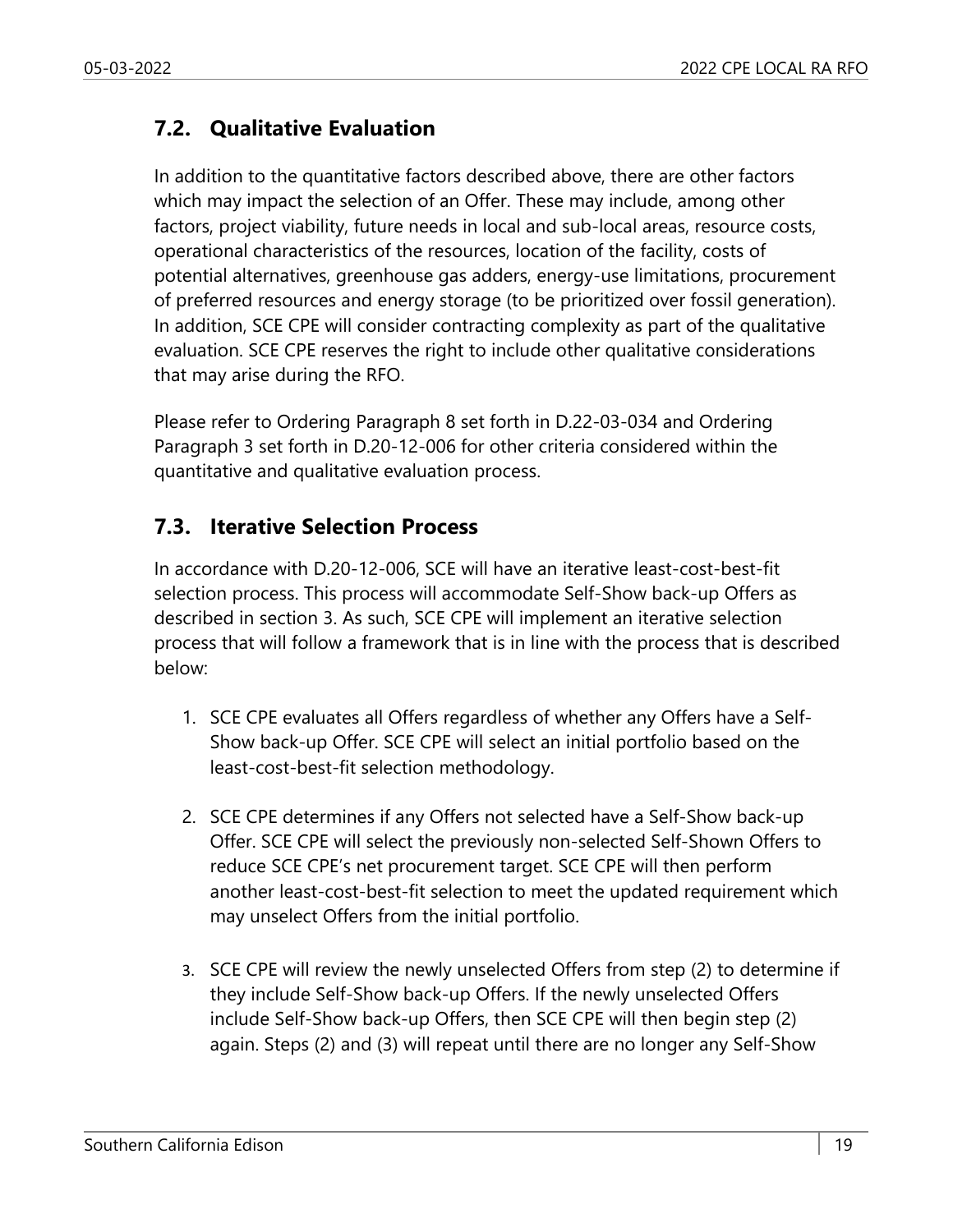## **7.2. Qualitative Evaluation**

In addition to the quantitative factors described above, there are other factors which may impact the selection of an Offer. These may include, among other factors, project viability, future needs in local and sub-local areas, resource costs, operational characteristics of the resources, location of the facility, costs of potential alternatives, greenhouse gas adders, energy-use limitations, procurement of preferred resources and energy storage (to be prioritized over fossil generation). In addition, SCE CPE will consider contracting complexity as part of the qualitative evaluation. SCE CPE reserves the right to include other qualitative considerations that may arise during the RFO.

Please refer to Ordering Paragraph 8 set forth in D.22-03-034 and Ordering Paragraph 3 set forth in D.20-12-006 for other criteria considered within the quantitative and qualitative evaluation process.

#### **7.3. Iterative Selection Process**

In accordance with D.20-12-006, SCE will have an iterative least-cost-best-fit selection process. This process will accommodate Self-Show back-up Offers as described in section 3. As such, SCE CPE will implement an iterative selection process that will follow a framework that is in line with the process that is described below:

- 1. SCE CPE evaluates all Offers regardless of whether any Offers have a Self-Show back-up Offer. SCE CPE will select an initial portfolio based on the least-cost-best-fit selection methodology.
- 2. SCE CPE determines if any Offers not selected have a Self-Show back-up Offer. SCE CPE will select the previously non-selected Self-Shown Offers to reduce SCE CPE's net procurement target. SCE CPE will then perform another least-cost-best-fit selection to meet the updated requirement which may unselect Offers from the initial portfolio.
- 3. SCE CPE will review the newly unselected Offers from step (2) to determine if they include Self-Show back-up Offers. If the newly unselected Offers include Self-Show back-up Offers, then SCE CPE will then begin step (2) again. Steps (2) and (3) will repeat until there are no longer any Self-Show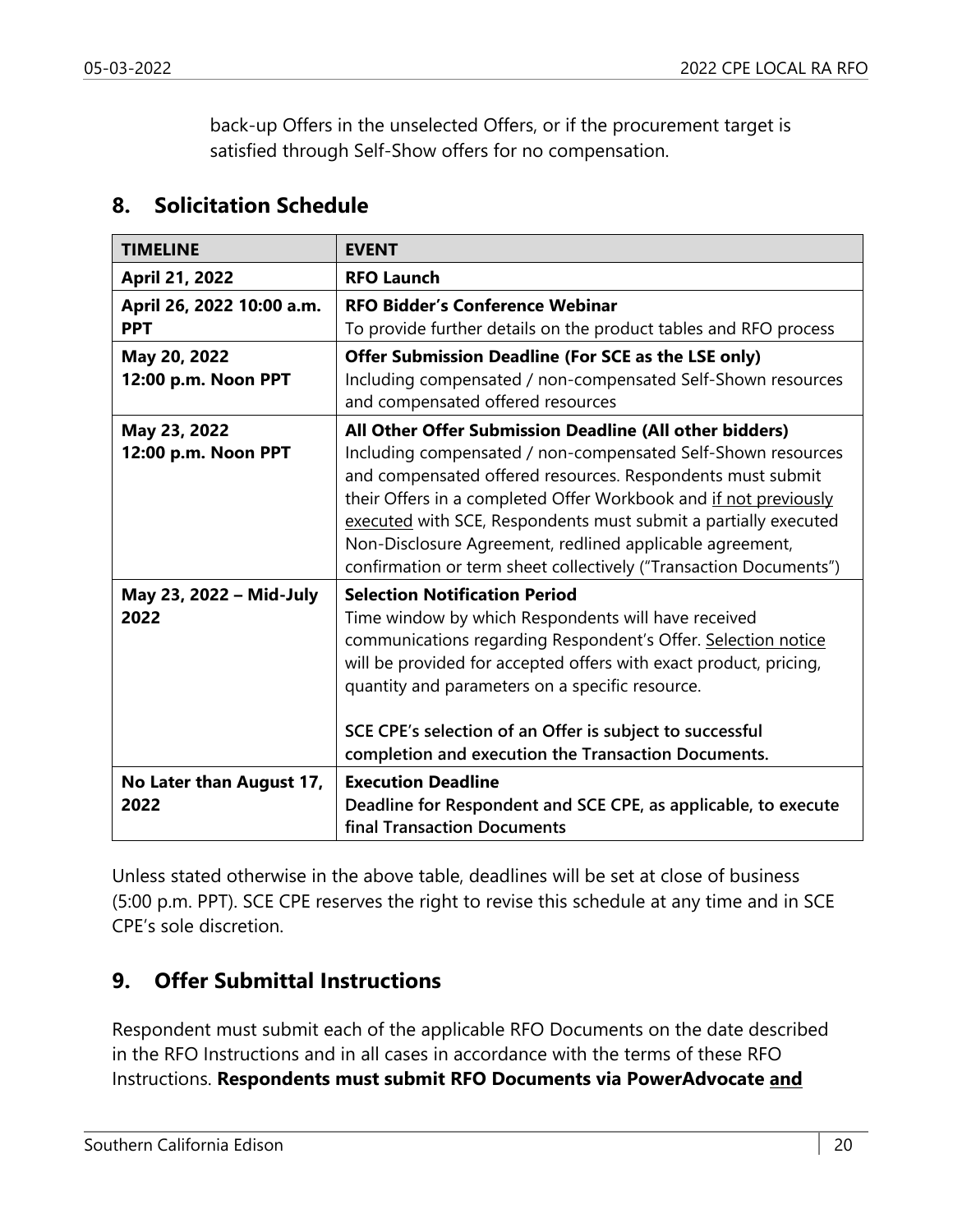back-up Offers in the unselected Offers, or if the procurement target is satisfied through Self-Show offers for no compensation.

#### **8. Solicitation Schedule**

| <b>TIMELINE</b>                         | <b>EVENT</b>                                                                                                                                                                                                                                                                                                                                                                                                                                                  |
|-----------------------------------------|---------------------------------------------------------------------------------------------------------------------------------------------------------------------------------------------------------------------------------------------------------------------------------------------------------------------------------------------------------------------------------------------------------------------------------------------------------------|
| April 21, 2022                          | <b>RFO Launch</b>                                                                                                                                                                                                                                                                                                                                                                                                                                             |
| April 26, 2022 10:00 a.m.<br><b>PPT</b> | <b>RFO Bidder's Conference Webinar</b><br>To provide further details on the product tables and RFO process                                                                                                                                                                                                                                                                                                                                                    |
| May 20, 2022<br>12:00 p.m. Noon PPT     | Offer Submission Deadline (For SCE as the LSE only)<br>Including compensated / non-compensated Self-Shown resources<br>and compensated offered resources                                                                                                                                                                                                                                                                                                      |
| May 23, 2022<br>12:00 p.m. Noon PPT     | All Other Offer Submission Deadline (All other bidders)<br>Including compensated / non-compensated Self-Shown resources<br>and compensated offered resources. Respondents must submit<br>their Offers in a completed Offer Workbook and if not previously<br>executed with SCE, Respondents must submit a partially executed<br>Non-Disclosure Agreement, redlined applicable agreement,<br>confirmation or term sheet collectively ("Transaction Documents") |
| May 23, 2022 - Mid-July<br>2022         | <b>Selection Notification Period</b><br>Time window by which Respondents will have received<br>communications regarding Respondent's Offer. Selection notice<br>will be provided for accepted offers with exact product, pricing,<br>quantity and parameters on a specific resource.<br>SCE CPE's selection of an Offer is subject to successful<br>completion and execution the Transaction Documents.                                                       |
| No Later than August 17,<br>2022        | <b>Execution Deadline</b><br>Deadline for Respondent and SCE CPE, as applicable, to execute<br><b>final Transaction Documents</b>                                                                                                                                                                                                                                                                                                                             |

Unless stated otherwise in the above table, deadlines will be set at close of business (5:00 p.m. PPT). SCE CPE reserves the right to revise this schedule at any time and in SCE CPE's sole discretion.

## **9. Offer Submittal Instructions**

Respondent must submit each of the applicable RFO Documents on the date described in the RFO Instructions and in all cases in accordance with the terms of these RFO Instructions. **Respondents must submit RFO Documents via PowerAdvocate and**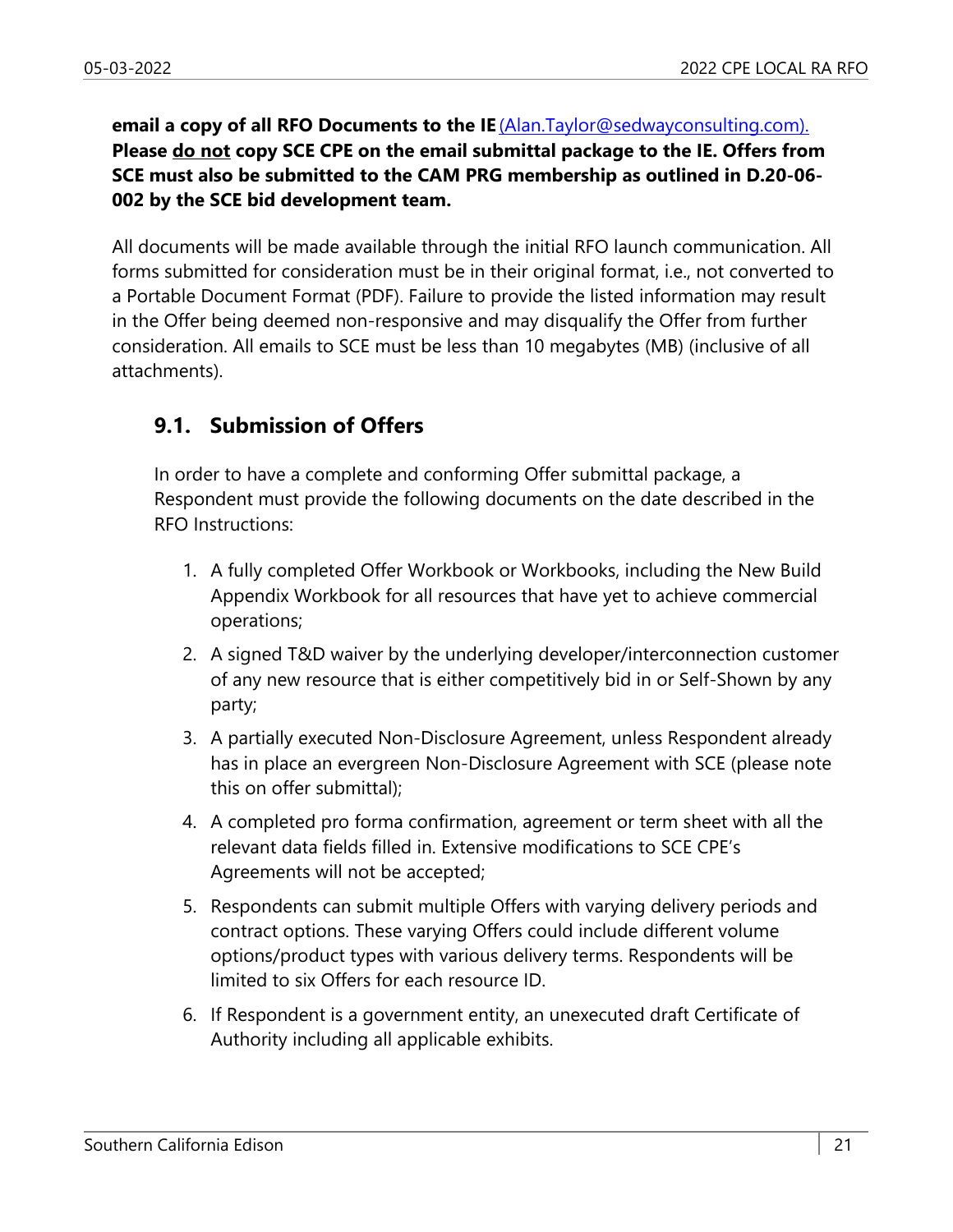**email a copy of all RFO Documents to the IE** (Alan.Taylor@sedwayconsulting.com). **Please do not copy SCE CPE on the email submittal package to the IE. Offers from SCE must also be submitted to the CAM PRG membership as outlined in D.20-06- 002 by the SCE bid development team.**

All documents will be made available through the initial RFO launch communication. All forms submitted for consideration must be in their original format, i.e., not converted to a Portable Document Format (PDF). Failure to provide the listed information may result in the Offer being deemed non-responsive and may disqualify the Offer from further consideration. All emails to SCE must be less than 10 megabytes (MB) (inclusive of all attachments).

## **9.1. Submission of Offers**

In order to have a complete and conforming Offer submittal package, a Respondent must provide the following documents on the date described in the RFO Instructions:

- 1. A fully completed Offer Workbook or Workbooks, including the New Build Appendix Workbook for all resources that have yet to achieve commercial operations;
- 2. A signed T&D waiver by the underlying developer/interconnection customer of any new resource that is either competitively bid in or Self-Shown by any party;
- 3. A partially executed Non-Disclosure Agreement, unless Respondent already has in place an evergreen Non-Disclosure Agreement with SCE (please note this on offer submittal);
- 4. A completed pro forma confirmation, agreement or term sheet with all the relevant data fields filled in. Extensive modifications to SCE CPE's Agreements will not be accepted;
- 5. Respondents can submit multiple Offers with varying delivery periods and contract options. These varying Offers could include different volume options/product types with various delivery terms. Respondents will be limited to six Offers for each resource ID.
- 6. If Respondent is a government entity, an unexecuted draft Certificate of Authority including all applicable exhibits.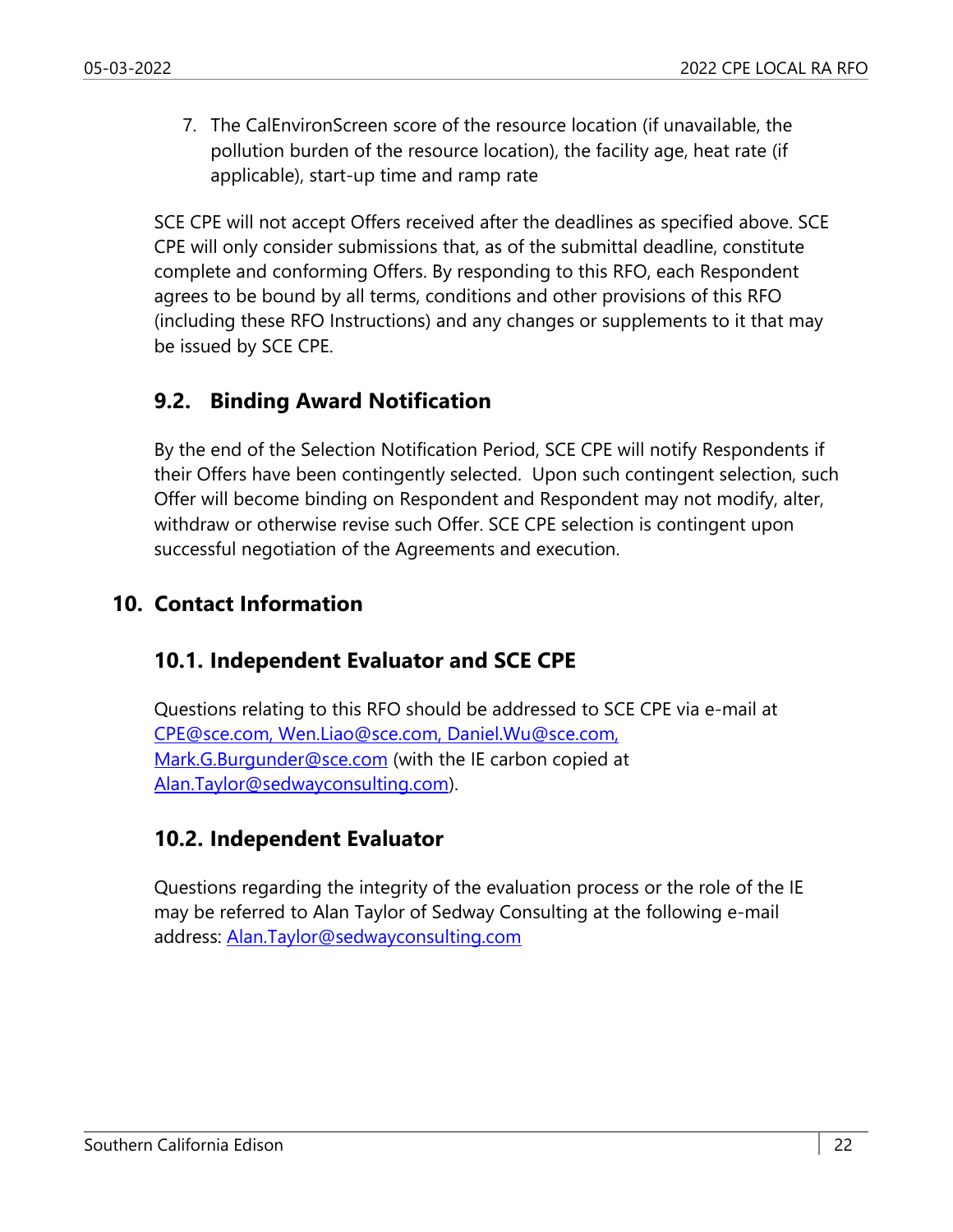7. The CalEnvironScreen score of the resource location (if unavailable, the pollution burden of the resource location), the facility age, heat rate (if applicable), start-up time and ramp rate

SCE CPE will not accept Offers received after the deadlines as specified above. SCE CPE will only consider submissions that, as of the submittal deadline, constitute complete and conforming Offers. By responding to this RFO, each Respondent agrees to be bound by all terms, conditions and other provisions of this RFO (including these RFO Instructions) and any changes or supplements to it that may be issued by SCE CPE.

#### **9.2. Binding Award Notification**

By the end of the Selection Notification Period, SCE CPE will notify Respondents if their Offers have been contingently selected. Upon such contingent selection, such Offer will become binding on Respondent and Respondent may not modify, alter, withdraw or otherwise revise such Offer. SCE CPE selection is contingent upon successful negotiation of the Agreements and execution.

#### **10. Contact Information**

## **10.1. Independent Evaluator and SCE CPE**

Questions relating to this RFO should be addressed to SCE CPE via e-mail at CPE@sce.com, Wen.Liao@sce.com, Daniel.Wu@sce.com, Mark.G.Burgunder@sce.com (with the IE carbon copied at Alan.Taylor@sedwayconsulting.com).

## **10.2. Independent Evaluator**

Questions regarding the integrity of the evaluation process or the role of the IE may be referred to Alan Taylor of Sedway Consulting at the following e-mail address: Alan.Taylor@sedwayconsulting.com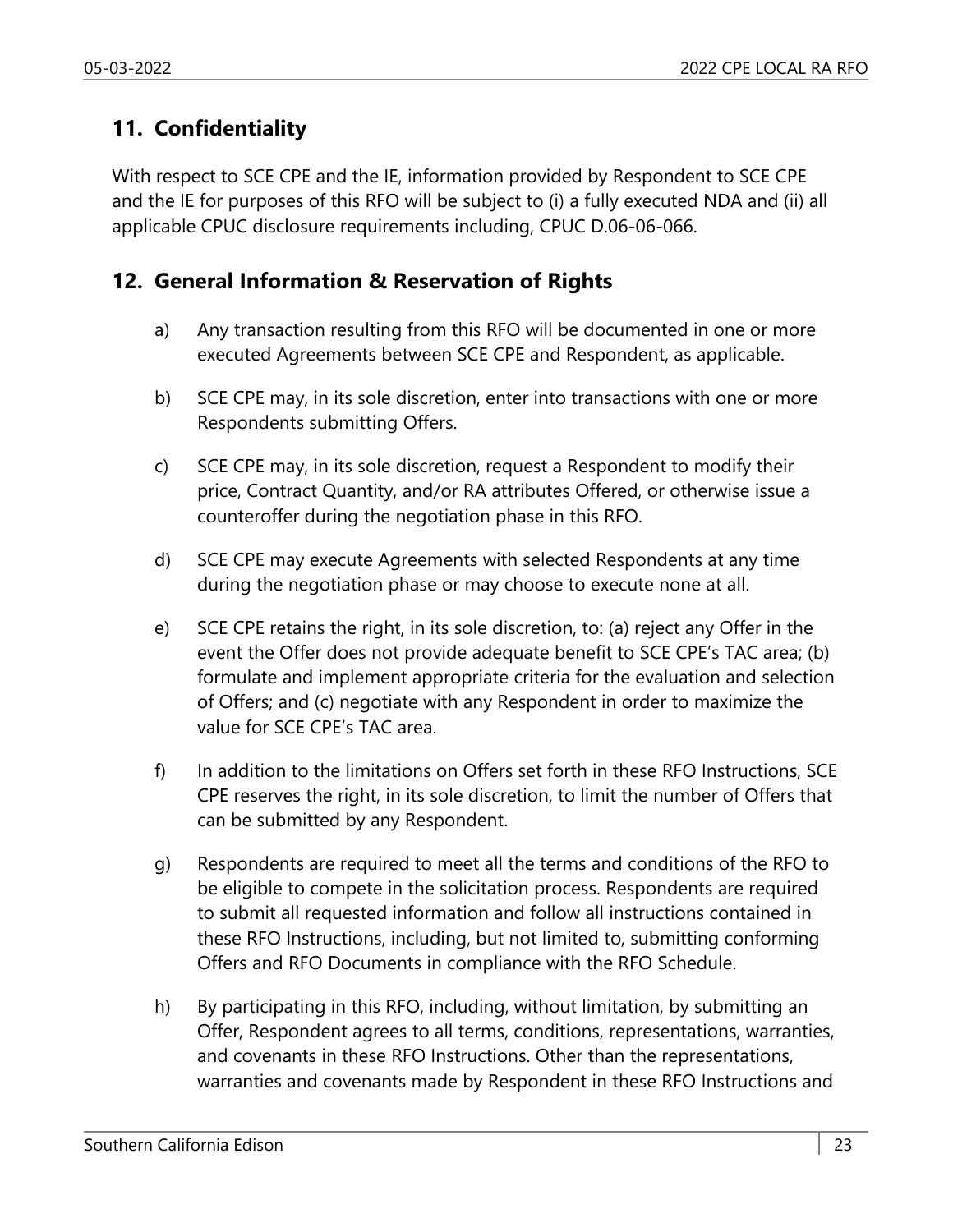## **11. Confidentiality**

With respect to SCE CPE and the IE, information provided by Respondent to SCE CPE and the IE for purposes of this RFO will be subject to (i) a fully executed NDA and (ii) all applicable CPUC disclosure requirements including, CPUC D.06-06-066.

## **12. General Information & Reservation of Rights**

- a) Any transaction resulting from this RFO will be documented in one or more executed Agreements between SCE CPE and Respondent, as applicable.
- b) SCE CPE may, in its sole discretion, enter into transactions with one or more Respondents submitting Offers.
- c) SCE CPE may, in its sole discretion, request a Respondent to modify their price, Contract Quantity, and/or RA attributes Offered, or otherwise issue a counteroffer during the negotiation phase in this RFO.
- d) SCE CPE may execute Agreements with selected Respondents at any time during the negotiation phase or may choose to execute none at all.
- e) SCE CPE retains the right, in its sole discretion, to: (a) reject any Offer in the event the Offer does not provide adequate benefit to SCE CPE's TAC area; (b) formulate and implement appropriate criteria for the evaluation and selection of Offers; and (c) negotiate with any Respondent in order to maximize the value for SCE CPE's TAC area.
- f) In addition to the limitations on Offers set forth in these RFO Instructions, SCE CPE reserves the right, in its sole discretion, to limit the number of Offers that can be submitted by any Respondent.
- g) Respondents are required to meet all the terms and conditions of the RFO to be eligible to compete in the solicitation process. Respondents are required to submit all requested information and follow all instructions contained in these RFO Instructions, including, but not limited to, submitting conforming Offers and RFO Documents in compliance with the RFO Schedule.
- h) By participating in this RFO, including, without limitation, by submitting an Offer, Respondent agrees to all terms, conditions, representations, warranties, and covenants in these RFO Instructions. Other than the representations, warranties and covenants made by Respondent in these RFO Instructions and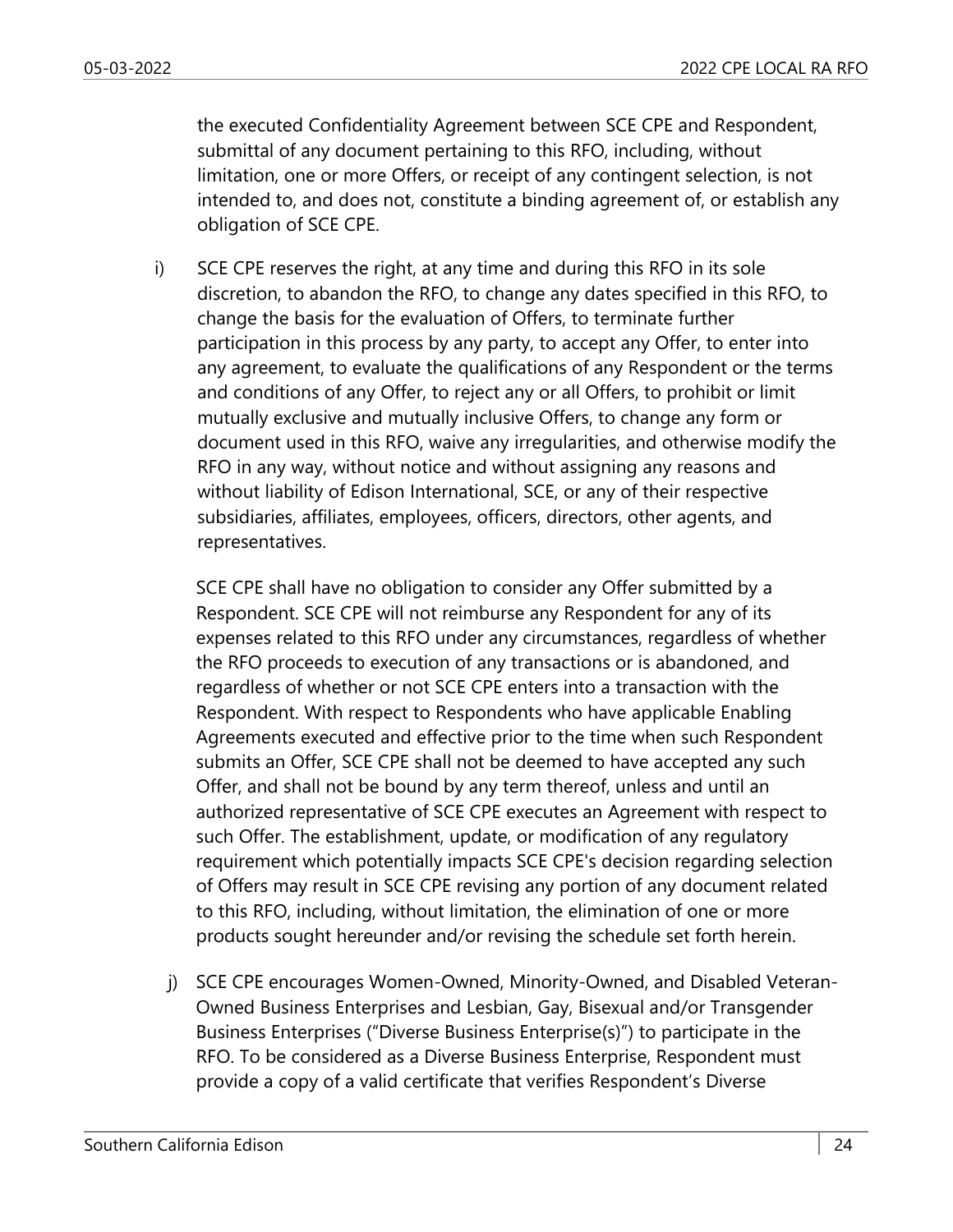the executed Confidentiality Agreement between SCE CPE and Respondent, submittal of any document pertaining to this RFO, including, without limitation, one or more Offers, or receipt of any contingent selection, is not intended to, and does not, constitute a binding agreement of, or establish any obligation of SCE CPE.

i) SCE CPE reserves the right, at any time and during this RFO in its sole discretion, to abandon the RFO, to change any dates specified in this RFO, to change the basis for the evaluation of Offers, to terminate further participation in this process by any party, to accept any Offer, to enter into any agreement, to evaluate the qualifications of any Respondent or the terms and conditions of any Offer, to reject any or all Offers, to prohibit or limit mutually exclusive and mutually inclusive Offers, to change any form or document used in this RFO, waive any irregularities, and otherwise modify the RFO in any way, without notice and without assigning any reasons and without liability of Edison International, SCE, or any of their respective subsidiaries, affiliates, employees, officers, directors, other agents, and representatives.

SCE CPE shall have no obligation to consider any Offer submitted by a Respondent. SCE CPE will not reimburse any Respondent for any of its expenses related to this RFO under any circumstances, regardless of whether the RFO proceeds to execution of any transactions or is abandoned, and regardless of whether or not SCE CPE enters into a transaction with the Respondent. With respect to Respondents who have applicable Enabling Agreements executed and effective prior to the time when such Respondent submits an Offer, SCE CPE shall not be deemed to have accepted any such Offer, and shall not be bound by any term thereof, unless and until an authorized representative of SCE CPE executes an Agreement with respect to such Offer. The establishment, update, or modification of any regulatory requirement which potentially impacts SCE CPE's decision regarding selection of Offers may result in SCE CPE revising any portion of any document related to this RFO, including, without limitation, the elimination of one or more products sought hereunder and/or revising the schedule set forth herein.

j) SCE CPE encourages Women-Owned, Minority-Owned, and Disabled Veteran-Owned Business Enterprises and Lesbian, Gay, Bisexual and/or Transgender Business Enterprises ("Diverse Business Enterprise(s)") to participate in the RFO. To be considered as a Diverse Business Enterprise, Respondent must provide a copy of a valid certificate that verifies Respondent's Diverse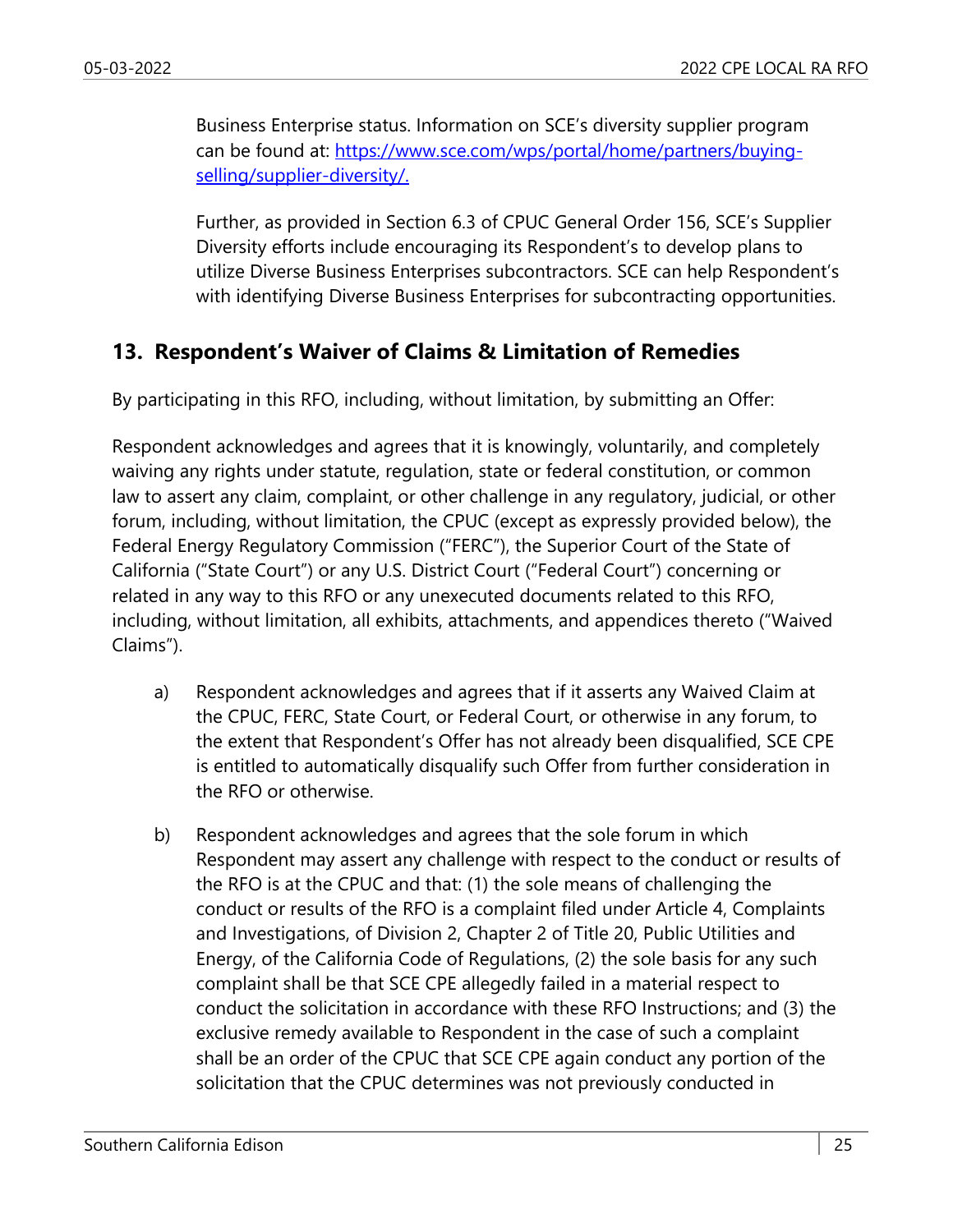Business Enterprise status. Information on SCE's diversity supplier program can be found at: https://www.sce.com/wps/portal/home/partners/buyingselling/supplier-diversity/.

Further, as provided in Section 6.3 of CPUC General Order 156, SCE's Supplier Diversity efforts include encouraging its Respondent's to develop plans to utilize Diverse Business Enterprises subcontractors. SCE can help Respondent's with identifying Diverse Business Enterprises for subcontracting opportunities.

## **13. Respondent's Waiver of Claims & Limitation of Remedies**

By participating in this RFO, including, without limitation, by submitting an Offer:

Respondent acknowledges and agrees that it is knowingly, voluntarily, and completely waiving any rights under statute, regulation, state or federal constitution, or common law to assert any claim, complaint, or other challenge in any regulatory, judicial, or other forum, including, without limitation, the CPUC (except as expressly provided below), the Federal Energy Regulatory Commission ("FERC"), the Superior Court of the State of California ("State Court") or any U.S. District Court ("Federal Court") concerning or related in any way to this RFO or any unexecuted documents related to this RFO, including, without limitation, all exhibits, attachments, and appendices thereto ("Waived Claims").

- a) Respondent acknowledges and agrees that if it asserts any Waived Claim at the CPUC, FERC, State Court, or Federal Court, or otherwise in any forum, to the extent that Respondent's Offer has not already been disqualified, SCE CPE is entitled to automatically disqualify such Offer from further consideration in the RFO or otherwise.
- b) Respondent acknowledges and agrees that the sole forum in which Respondent may assert any challenge with respect to the conduct or results of the RFO is at the CPUC and that: (1) the sole means of challenging the conduct or results of the RFO is a complaint filed under Article 4, Complaints and Investigations, of Division 2, Chapter 2 of Title 20, Public Utilities and Energy, of the California Code of Regulations, (2) the sole basis for any such complaint shall be that SCE CPE allegedly failed in a material respect to conduct the solicitation in accordance with these RFO Instructions; and (3) the exclusive remedy available to Respondent in the case of such a complaint shall be an order of the CPUC that SCE CPE again conduct any portion of the solicitation that the CPUC determines was not previously conducted in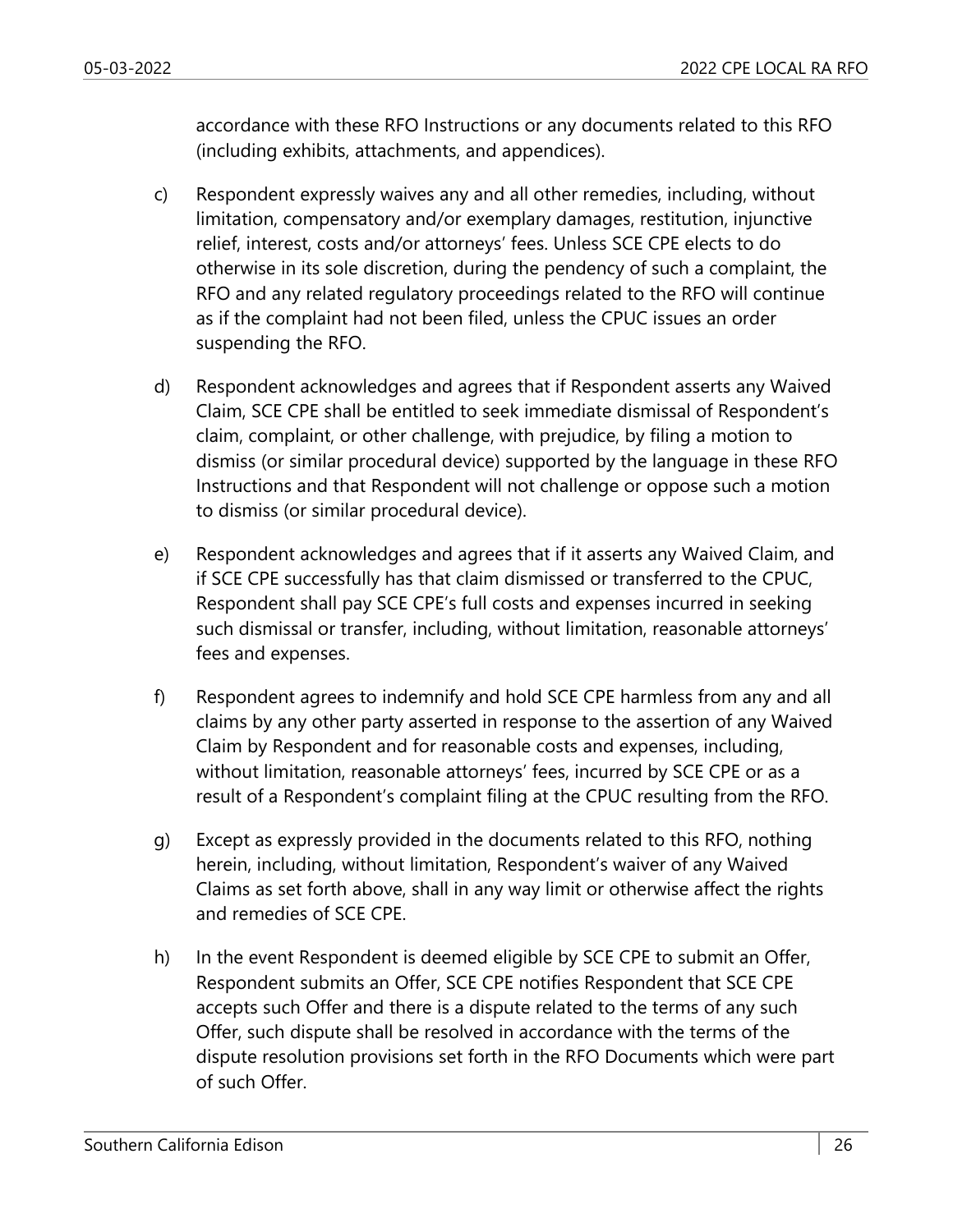accordance with these RFO Instructions or any documents related to this RFO (including exhibits, attachments, and appendices).

- c) Respondent expressly waives any and all other remedies, including, without limitation, compensatory and/or exemplary damages, restitution, injunctive relief, interest, costs and/or attorneys' fees. Unless SCE CPE elects to do otherwise in its sole discretion, during the pendency of such a complaint, the RFO and any related regulatory proceedings related to the RFO will continue as if the complaint had not been filed, unless the CPUC issues an order suspending the RFO.
- d) Respondent acknowledges and agrees that if Respondent asserts any Waived Claim, SCE CPE shall be entitled to seek immediate dismissal of Respondent's claim, complaint, or other challenge, with prejudice, by filing a motion to dismiss (or similar procedural device) supported by the language in these RFO Instructions and that Respondent will not challenge or oppose such a motion to dismiss (or similar procedural device).
- e) Respondent acknowledges and agrees that if it asserts any Waived Claim, and if SCE CPE successfully has that claim dismissed or transferred to the CPUC, Respondent shall pay SCE CPE's full costs and expenses incurred in seeking such dismissal or transfer, including, without limitation, reasonable attorneys' fees and expenses.
- f) Respondent agrees to indemnify and hold SCE CPE harmless from any and all claims by any other party asserted in response to the assertion of any Waived Claim by Respondent and for reasonable costs and expenses, including, without limitation, reasonable attorneys' fees, incurred by SCE CPE or as a result of a Respondent's complaint filing at the CPUC resulting from the RFO.
- g) Except as expressly provided in the documents related to this RFO, nothing herein, including, without limitation, Respondent's waiver of any Waived Claims as set forth above, shall in any way limit or otherwise affect the rights and remedies of SCE CPE.
- h) In the event Respondent is deemed eligible by SCE CPE to submit an Offer, Respondent submits an Offer, SCE CPE notifies Respondent that SCE CPE accepts such Offer and there is a dispute related to the terms of any such Offer, such dispute shall be resolved in accordance with the terms of the dispute resolution provisions set forth in the RFO Documents which were part of such Offer.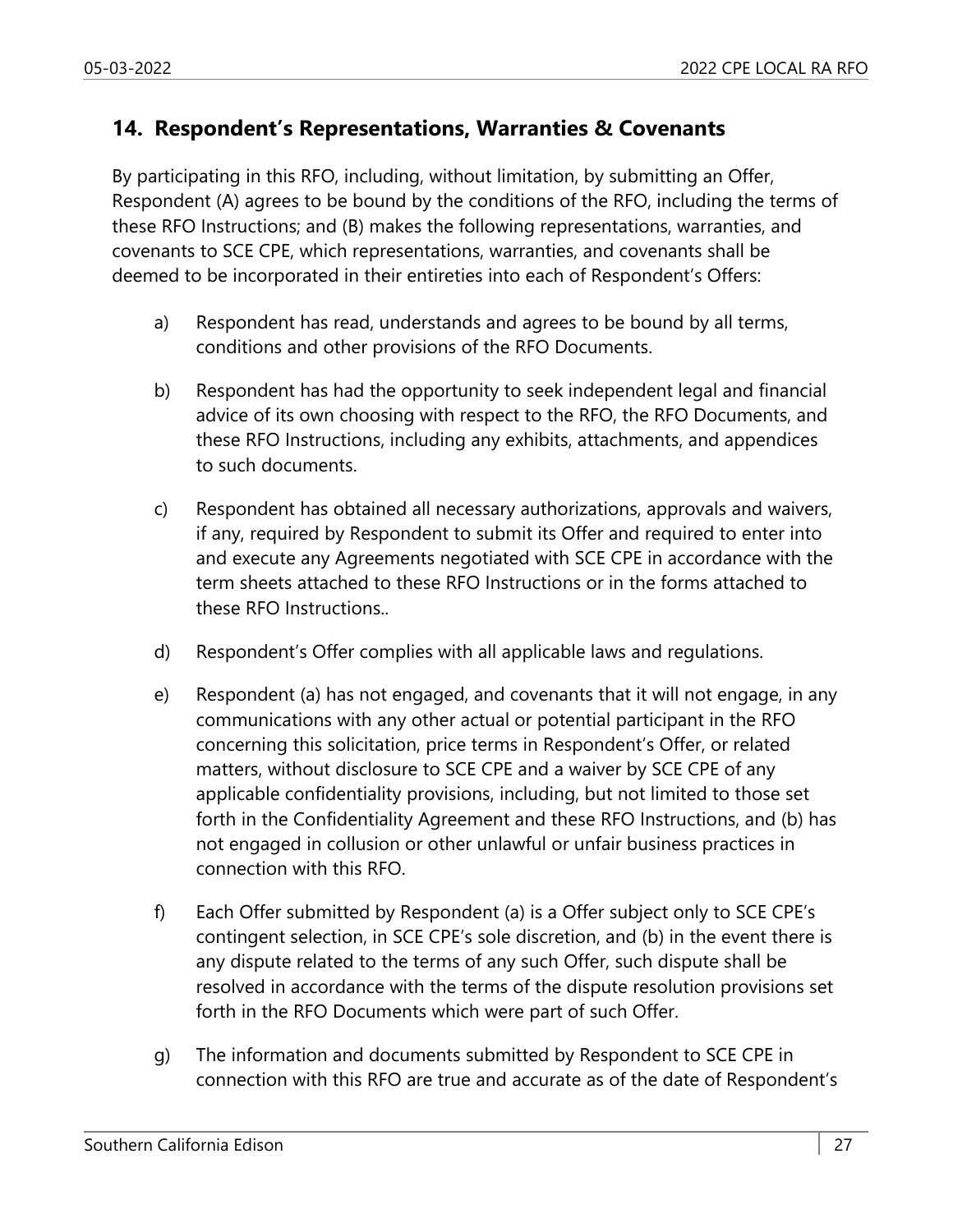#### **14. Respondent's Representations, Warranties & Covenants**

By participating in this RFO, including, without limitation, by submitting an Offer, Respondent (A) agrees to be bound by the conditions of the RFO, including the terms of these RFO Instructions; and (B) makes the following representations, warranties, and covenants to SCE CPE, which representations, warranties, and covenants shall be deemed to be incorporated in their entireties into each of Respondent's Offers:

- a) Respondent has read, understands and agrees to be bound by all terms, conditions and other provisions of the RFO Documents.
- b) Respondent has had the opportunity to seek independent legal and financial advice of its own choosing with respect to the RFO, the RFO Documents, and these RFO Instructions, including any exhibits, attachments, and appendices to such documents.
- c) Respondent has obtained all necessary authorizations, approvals and waivers, if any, required by Respondent to submit its Offer and required to enter into and execute any Agreements negotiated with SCE CPE in accordance with the term sheets attached to these RFO Instructions or in the forms attached to these RFO Instructions..
- d) Respondent's Offer complies with all applicable laws and regulations.
- e) Respondent (a) has not engaged, and covenants that it will not engage, in any communications with any other actual or potential participant in the RFO concerning this solicitation, price terms in Respondent's Offer, or related matters, without disclosure to SCE CPE and a waiver by SCE CPE of any applicable confidentiality provisions, including, but not limited to those set forth in the Confidentiality Agreement and these RFO Instructions, and (b) has not engaged in collusion or other unlawful or unfair business practices in connection with this RFO.
- f) Each Offer submitted by Respondent (a) is a Offer subject only to SCE CPE's contingent selection, in SCE CPE's sole discretion, and (b) in the event there is any dispute related to the terms of any such Offer, such dispute shall be resolved in accordance with the terms of the dispute resolution provisions set forth in the RFO Documents which were part of such Offer.
- g) The information and documents submitted by Respondent to SCE CPE in connection with this RFO are true and accurate as of the date of Respondent's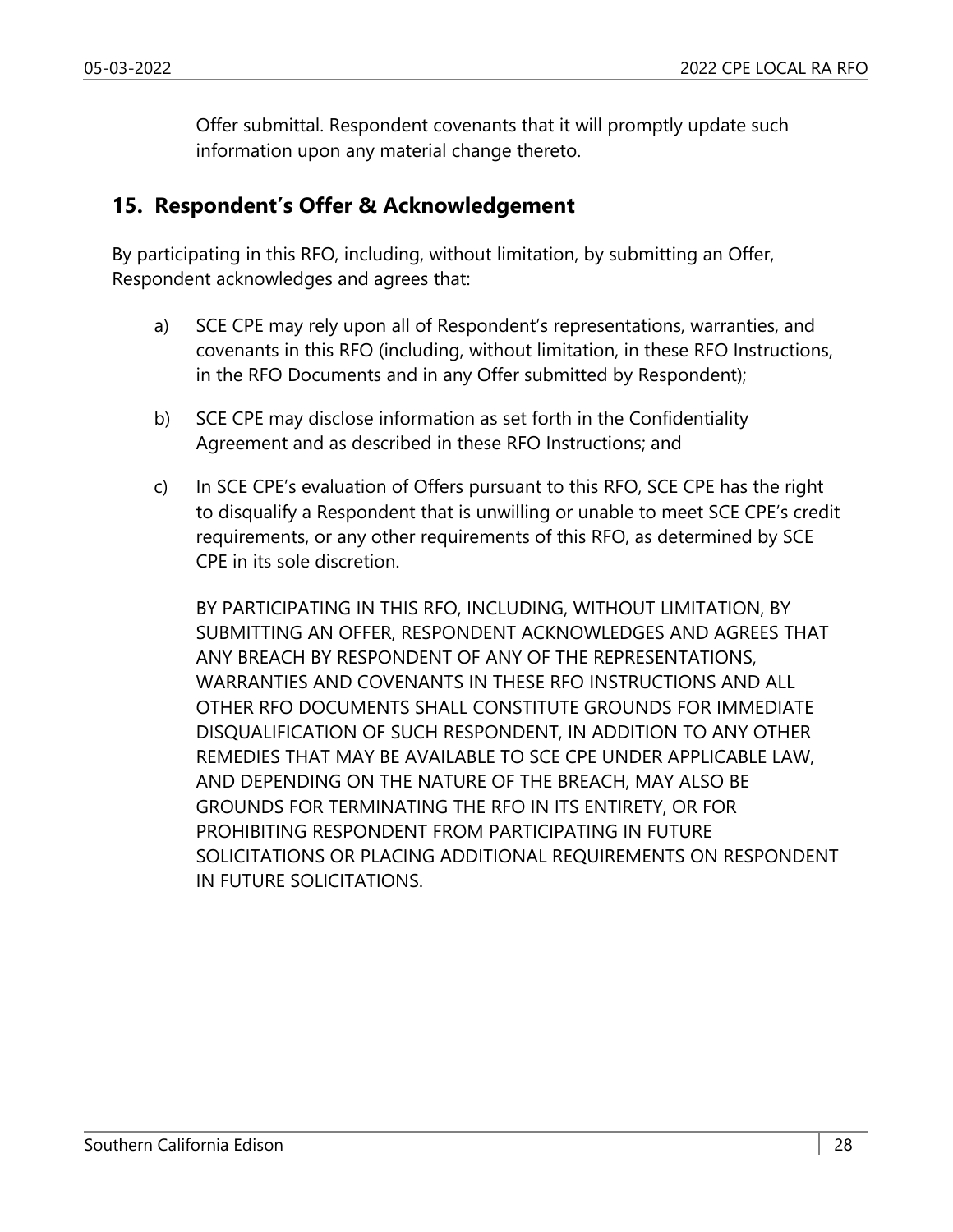Offer submittal. Respondent covenants that it will promptly update such information upon any material change thereto.

#### **15. Respondent's Offer & Acknowledgement**

By participating in this RFO, including, without limitation, by submitting an Offer, Respondent acknowledges and agrees that:

- a) SCE CPE may rely upon all of Respondent's representations, warranties, and covenants in this RFO (including, without limitation, in these RFO Instructions, in the RFO Documents and in any Offer submitted by Respondent);
- b) SCE CPE may disclose information as set forth in the Confidentiality Agreement and as described in these RFO Instructions; and
- c) In SCE CPE's evaluation of Offers pursuant to this RFO, SCE CPE has the right to disqualify a Respondent that is unwilling or unable to meet SCE CPE's credit requirements, or any other requirements of this RFO, as determined by SCE CPE in its sole discretion.

BY PARTICIPATING IN THIS RFO, INCLUDING, WITHOUT LIMITATION, BY SUBMITTING AN OFFER, RESPONDENT ACKNOWLEDGES AND AGREES THAT ANY BREACH BY RESPONDENT OF ANY OF THE REPRESENTATIONS, WARRANTIES AND COVENANTS IN THESE RFO INSTRUCTIONS AND ALL OTHER RFO DOCUMENTS SHALL CONSTITUTE GROUNDS FOR IMMEDIATE DISQUALIFICATION OF SUCH RESPONDENT, IN ADDITION TO ANY OTHER REMEDIES THAT MAY BE AVAILABLE TO SCE CPE UNDER APPLICABLE LAW, AND DEPENDING ON THE NATURE OF THE BREACH, MAY ALSO BE GROUNDS FOR TERMINATING THE RFO IN ITS ENTIRETY, OR FOR PROHIBITING RESPONDENT FROM PARTICIPATING IN FUTURE SOLICITATIONS OR PLACING ADDITIONAL REQUIREMENTS ON RESPONDENT IN FUTURE SOLICITATIONS.